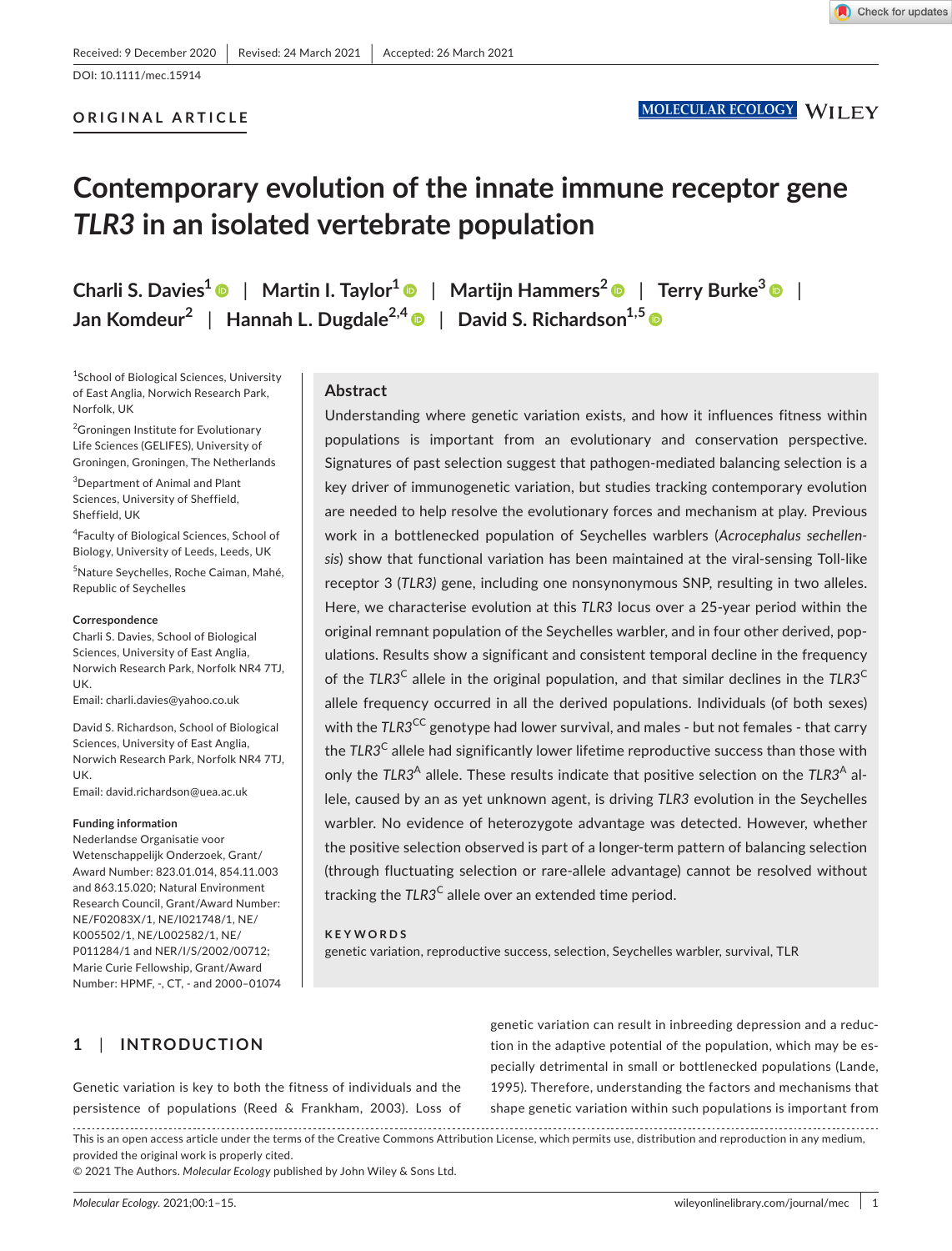# DOI: 10.1111/mec.15914

## **ORIGINAL ARTICLE**

# **Contemporary evolution of the innate immune receptor gene**  *TLR3* **in an isolated vertebrate population**

**Charli S. Davies<sup>1</sup>** | **Martin I. Taylor[1](https://orcid.org/0000-0002-3858-0712)** | **Martijn Hammers[2](https://orcid.org/0000-0002-6638-820X)** | **Terry Burke[3](https://orcid.org/0000-0003-3848-1244)** | **Jan Komdeur<sup>2</sup>** | **Hannah L. Dugdale2,[4](https://orcid.org/0000-0001-8769-0099)** | **David S. Richardson1,5**

<sup>1</sup>School of Biological Sciences, University of East Anglia, Norwich Research Park, Norfolk, UK

<sup>2</sup>Groningen Institute for Evolutionary Life Sciences (GELIFES), University of Groningen, Groningen, The Netherlands

3 Department of Animal and Plant Sciences, University of Sheffield, Sheffield, UK

4 Faculty of Biological Sciences, School of Biology, University of Leeds, Leeds, UK

5 Nature Seychelles, Roche Caiman, Mahé, Republic of Seychelles

#### **Correspondence**

Charli S. Davies, School of Biological Sciences, University of East Anglia, Norwich Research Park, Norfolk NR4 7TJ, UK.

Email: [charli.davies@yahoo.co.uk](mailto:charli.davies@yahoo.co.uk)

David S. Richardson, School of Biological Sciences, University of East Anglia, Norwich Research Park, Norfolk NR4 7TJ, UK.

Email: [david.richardson@uea.ac.uk](mailto:david.richardson@uea.ac.uk)

#### **Funding information**

Nederlandse Organisatie voor Wetenschappelijk Onderzoek, Grant/ Award Number: 823.01.014, 854.11.003 and 863.15.020; Natural Environment Research Council, Grant/Award Number: NE/F02083X/1, NE/I021748/1, NE/ K005502/1, NE/L002582/1, NE/ P011284/1 and NER/I/S/2002/00712; Marie Curie Fellowship, Grant/Award Number: HPMF, -, CT, - and 2000–01074

#### **Abstract**

Understanding where genetic variation exists, and how it influences fitness within populations is important from an evolutionary and conservation perspective. Signatures of past selection suggest that pathogen-mediated balancing selection is a key driver of immunogenetic variation, but studies tracking contemporary evolution are needed to help resolve the evolutionary forces and mechanism at play. Previous work in a bottlenecked population of Seychelles warblers (*Acrocephalus sechellensis*) show that functional variation has been maintained at the viral-sensing Toll-like receptor 3 (*TLR3)* gene, including one nonsynonymous SNP, resulting in two alleles. Here, we characterise evolution at this *TLR3* locus over a 25-year period within the original remnant population of the Seychelles warbler, and in four other derived, populations. Results show a significant and consistent temporal decline in the frequency of the *TLR3*C allele in the original population, and that similar declines in the *TLR3*<sup>C</sup> allele frequency occurred in all the derived populations. Individuals (of both sexes) with the *TLR3<sup>CC</sup>* genotype had lower survival, and males - but not females - that carry the *TLR3*C allele had significantly lower lifetime reproductive success than those with only the *TLR3<sup>A</sup>* allele. These results indicate that positive selection on the *TLR3<sup>A</sup>* allele, caused by an as yet unknown agent, is driving *TLR3* evolution in the Seychelles warbler. No evidence of heterozygote advantage was detected. However, whether the positive selection observed is part of a longer-term pattern of balancing selection (through fluctuating selection or rare-allele advantage) cannot be resolved without tracking the *TLR3*C allele over an extended time period.

#### **KEYWORDS**

genetic variation, reproductive success, selection, Seychelles warbler, survival, TLR

# **1**  | **INTRODUCTION**

Genetic variation is key to both the fitness of individuals and the persistence of populations (Reed & Frankham, 2003). Loss of genetic variation can result in inbreeding depression and a reduction in the adaptive potential of the population, which may be especially detrimental in small or bottlenecked populations (Lande, 1995). Therefore, understanding the factors and mechanisms that shape genetic variation within such populations is important from

This is an open access article under the terms of the [Creative Commons Attribution](http://creativecommons.org/licenses/by/4.0/) License, which permits use, distribution and reproduction in any medium, provided the original work is properly cited.

© 2021 The Authors. *Molecular Ecology* published by John Wiley & Sons Ltd.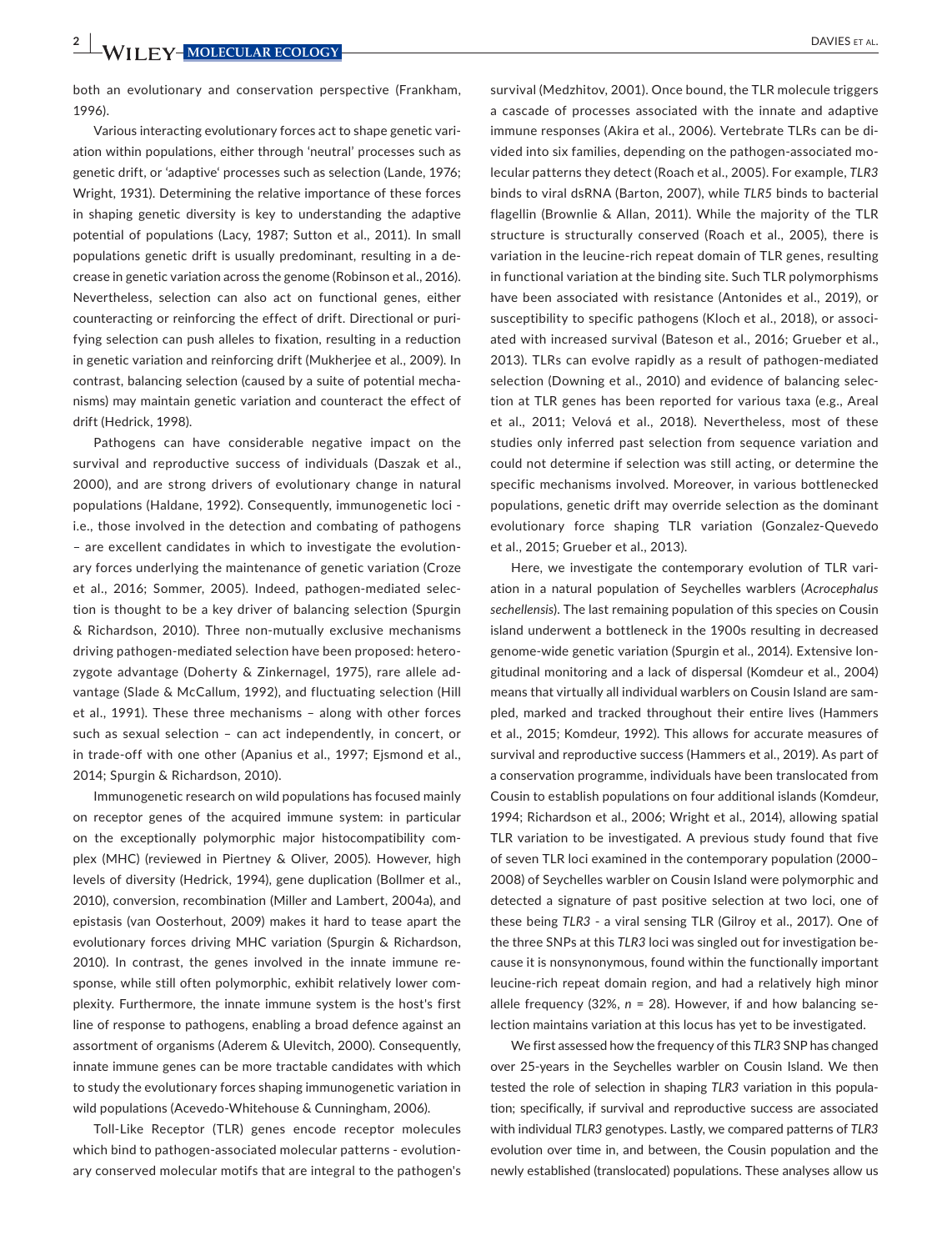both an evolutionary and conservation perspective (Frankham, 1996).

Various interacting evolutionary forces act to shape genetic variation within populations, either through 'neutral' processes such as genetic drift, or 'adaptive' processes such as selection (Lande, 1976; Wright, 1931). Determining the relative importance of these forces in shaping genetic diversity is key to understanding the adaptive potential of populations (Lacy, 1987; Sutton et al., 2011). In small populations genetic drift is usually predominant, resulting in a decrease in genetic variation across the genome (Robinson et al., 2016). Nevertheless, selection can also act on functional genes, either counteracting or reinforcing the effect of drift. Directional or purifying selection can push alleles to fixation, resulting in a reduction in genetic variation and reinforcing drift (Mukherjee et al., 2009). In contrast, balancing selection (caused by a suite of potential mechanisms) may maintain genetic variation and counteract the effect of drift (Hedrick, 1998).

Pathogens can have considerable negative impact on the survival and reproductive success of individuals (Daszak et al., 2000), and are strong drivers of evolutionary change in natural populations (Haldane, 1992). Consequently, immunogenetic loci i.e., those involved in the detection and combating of pathogens – are excellent candidates in which to investigate the evolutionary forces underlying the maintenance of genetic variation (Croze et al., 2016; Sommer, 2005). Indeed, pathogen-mediated selection is thought to be a key driver of balancing selection (Spurgin & Richardson, 2010). Three non-mutually exclusive mechanisms driving pathogen-mediated selection have been proposed: heterozygote advantage (Doherty & Zinkernagel, 1975), rare allele advantage (Slade & McCallum, 1992), and fluctuating selection (Hill et al., 1991). These three mechanisms – along with other forces such as sexual selection – can act independently, in concert, or in trade-off with one other (Apanius et al., 1997; Ejsmond et al., 2014; Spurgin & Richardson, 2010).

Immunogenetic research on wild populations has focused mainly on receptor genes of the acquired immune system: in particular on the exceptionally polymorphic major histocompatibility complex (MHC) (reviewed in Piertney & Oliver, 2005). However, high levels of diversity (Hedrick, 1994), gene duplication (Bollmer et al., 2010), conversion, recombination (Miller and Lambert, 2004a), and epistasis (van Oosterhout, 2009) makes it hard to tease apart the evolutionary forces driving MHC variation (Spurgin & Richardson, 2010). In contrast, the genes involved in the innate immune response, while still often polymorphic, exhibit relatively lower complexity. Furthermore, the innate immune system is the host's first line of response to pathogens, enabling a broad defence against an assortment of organisms (Aderem & Ulevitch, 2000). Consequently, innate immune genes can be more tractable candidates with which to study the evolutionary forces shaping immunogenetic variation in wild populations (Acevedo-Whitehouse & Cunningham, 2006).

Toll-Like Receptor (TLR) genes encode receptor molecules which bind to pathogen-associated molecular patterns - evolutionary conserved molecular motifs that are integral to the pathogen's

survival (Medzhitov, 2001). Once bound, the TLR molecule triggers a cascade of processes associated with the innate and adaptive immune responses (Akira et al., 2006). Vertebrate TLRs can be divided into six families, depending on the pathogen-associated molecular patterns they detect (Roach et al., 2005). For example, *TLR3* binds to viral dsRNA (Barton, 2007), while *TLR5* binds to bacterial flagellin (Brownlie & Allan, 2011). While the majority of the TLR structure is structurally conserved (Roach et al., 2005), there is variation in the leucine-rich repeat domain of TLR genes, resulting in functional variation at the binding site. Such TLR polymorphisms have been associated with resistance (Antonides et al., 2019), or susceptibility to specific pathogens (Kloch et al., 2018), or associated with increased survival (Bateson et al., 2016; Grueber et al., 2013). TLRs can evolve rapidly as a result of pathogen-mediated selection (Downing et al., 2010) and evidence of balancing selection at TLR genes has been reported for various taxa (e.g., Areal et al., 2011; Velová et al., 2018). Nevertheless, most of these studies only inferred past selection from sequence variation and could not determine if selection was still acting, or determine the specific mechanisms involved. Moreover, in various bottlenecked populations, genetic drift may override selection as the dominant evolutionary force shaping TLR variation (Gonzalez-Quevedo et al., 2015; Grueber et al., 2013).

Here, we investigate the contemporary evolution of TLR variation in a natural population of Seychelles warblers (*Acrocephalus sechellensis*). The last remaining population of this species on Cousin island underwent a bottleneck in the 1900s resulting in decreased genome-wide genetic variation (Spurgin et al., 2014). Extensive longitudinal monitoring and a lack of dispersal (Komdeur et al., 2004) means that virtually all individual warblers on Cousin Island are sampled, marked and tracked throughout their entire lives (Hammers et al., 2015; Komdeur, 1992). This allows for accurate measures of survival and reproductive success (Hammers et al., 2019). As part of a conservation programme, individuals have been translocated from Cousin to establish populations on four additional islands (Komdeur, 1994; Richardson et al., 2006; Wright et al., 2014), allowing spatial TLR variation to be investigated. A previous study found that five of seven TLR loci examined in the contemporary population (2000– 2008) of Seychelles warbler on Cousin Island were polymorphic and detected a signature of past positive selection at two loci, one of these being *TLR3* - a viral sensing TLR (Gilroy et al., 2017). One of the three SNPs at this *TLR3* loci was singled out for investigation because it is nonsynonymous, found within the functionally important leucine-rich repeat domain region, and had a relatively high minor allele frequency (32%, *n* = 28). However, if and how balancing selection maintains variation at this locus has yet to be investigated.

We first assessed how the frequency of this *TLR3* SNP has changed over 25-years in the Seychelles warbler on Cousin Island. We then tested the role of selection in shaping *TLR3* variation in this population; specifically, if survival and reproductive success are associated with individual *TLR3* genotypes. Lastly, we compared patterns of *TLR3* evolution over time in, and between, the Cousin population and the newly established (translocated) populations. These analyses allow us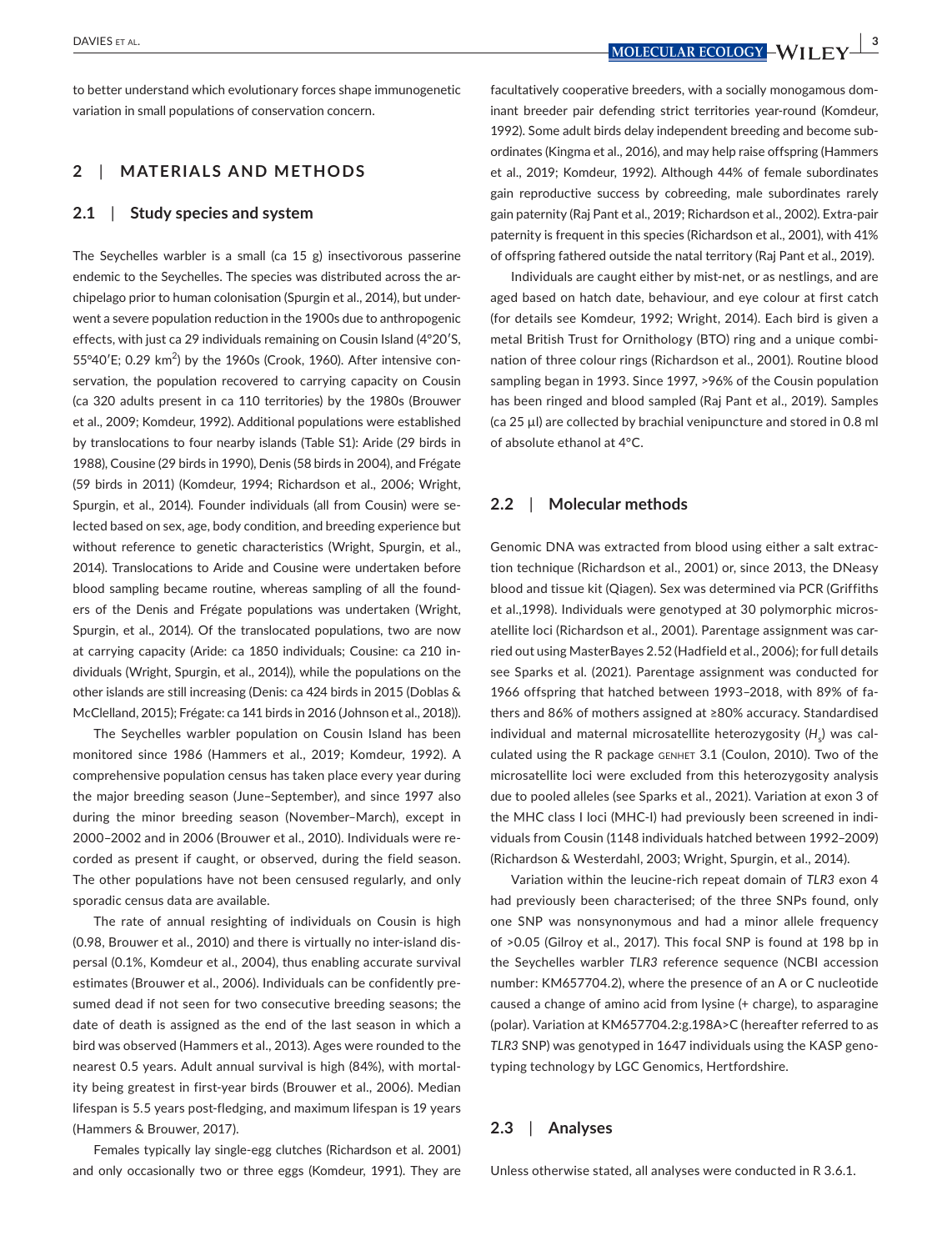**DAVIES** ET AL. *COLOGY* **WILL FY**  $\frac{1}{3}$ 

to better understand which evolutionary forces shape immunogenetic variation in small populations of conservation concern.

## **2**  | **MATERIALS AND METHODS**

#### **2.1**  | **Study species and system**

The Seychelles warbler is a small (ca 15 g) insectivorous passerine endemic to the Seychelles. The species was distributed across the archipelago prior to human colonisation (Spurgin et al., 2014), but underwent a severe population reduction in the 1900s due to anthropogenic effects, with just ca 29 individuals remaining on Cousin Island (4°20′S, 55 $\degree$ 40'E; 0.29 km<sup>2</sup>) by the 1960s (Crook, 1960). After intensive conservation, the population recovered to carrying capacity on Cousin (ca 320 adults present in ca 110 territories) by the 1980s (Brouwer et al., 2009; Komdeur, 1992). Additional populations were established by translocations to four nearby islands (Table S1): Aride (29 birds in 1988), Cousine (29 birds in 1990), Denis (58 birds in 2004), and Frégate (59 birds in 2011) (Komdeur, 1994; Richardson et al., 2006; Wright, Spurgin, et al., 2014). Founder individuals (all from Cousin) were selected based on sex, age, body condition, and breeding experience but without reference to genetic characteristics (Wright, Spurgin, et al., 2014). Translocations to Aride and Cousine were undertaken before blood sampling became routine, whereas sampling of all the founders of the Denis and Frégate populations was undertaken (Wright, Spurgin, et al., 2014). Of the translocated populations, two are now at carrying capacity (Aride: ca 1850 individuals; Cousine: ca 210 individuals (Wright, Spurgin, et al., 2014)), while the populations on the other islands are still increasing (Denis: ca 424 birds in 2015 (Doblas & McClelland, 2015); Frégate: ca 141 birds in 2016 (Johnson et al., 2018)).

The Seychelles warbler population on Cousin Island has been monitored since 1986 (Hammers et al., 2019; Komdeur, 1992). A comprehensive population census has taken place every year during the major breeding season (June–September), and since 1997 also during the minor breeding season (November–March), except in 2000–2002 and in 2006 (Brouwer et al., 2010). Individuals were recorded as present if caught, or observed, during the field season. The other populations have not been censused regularly, and only sporadic census data are available.

The rate of annual resighting of individuals on Cousin is high (0.98, Brouwer et al., 2010) and there is virtually no inter-island dispersal (0.1%, Komdeur et al., 2004), thus enabling accurate survival estimates (Brouwer et al., 2006). Individuals can be confidently presumed dead if not seen for two consecutive breeding seasons; the date of death is assigned as the end of the last season in which a bird was observed (Hammers et al., 2013). Ages were rounded to the nearest 0.5 years. Adult annual survival is high (84%), with mortality being greatest in first-year birds (Brouwer et al., 2006). Median lifespan is 5.5 years post-fledging, and maximum lifespan is 19 years (Hammers & Brouwer, 2017).

Females typically lay single-egg clutches (Richardson et al. 2001) and only occasionally two or three eggs (Komdeur, 1991). They are

facultatively cooperative breeders, with a socially monogamous dominant breeder pair defending strict territories year-round (Komdeur, 1992). Some adult birds delay independent breeding and become subordinates (Kingma et al., 2016), and may help raise offspring (Hammers et al., 2019; Komdeur, 1992). Although 44% of female subordinates gain reproductive success by cobreeding, male subordinates rarely gain paternity (Raj Pant et al., 2019; Richardson et al., 2002). Extra-pair paternity is frequent in this species (Richardson et al., 2001), with 41% of offspring fathered outside the natal territory (Raj Pant et al., 2019).

Individuals are caught either by mist-net, or as nestlings, and are aged based on hatch date, behaviour, and eye colour at first catch (for details see Komdeur, 1992; Wright, 2014). Each bird is given a metal British Trust for Ornithology (BTO) ring and a unique combination of three colour rings (Richardson et al., 2001). Routine blood sampling began in 1993. Since 1997, >96% of the Cousin population has been ringed and blood sampled (Raj Pant et al., 2019). Samples (ca 25 µl) are collected by brachial venipuncture and stored in 0.8 ml of absolute ethanol at 4°C.

#### **2.2**  | **Molecular methods**

Genomic DNA was extracted from blood using either a salt extraction technique (Richardson et al., 2001) or, since 2013, the DNeasy blood and tissue kit (Qiagen). Sex was determined via PCR (Griffiths et al.,1998). Individuals were genotyped at 30 polymorphic microsatellite loci (Richardson et al., 2001). Parentage assignment was carried out using MasterBayes 2.52 (Hadfield et al., 2006); for full details see Sparks et al. (2021). Parentage assignment was conducted for 1966 offspring that hatched between 1993–2018, with 89% of fathers and 86% of mothers assigned at ≥80% accuracy. Standardised individual and maternal microsatellite heterozygosity (H<sub>s</sub>) was calculated using the R package genhet 3.1 (Coulon, 2010). Two of the microsatellite loci were excluded from this heterozygosity analysis due to pooled alleles (see Sparks et al., 2021). Variation at exon 3 of the MHC class I loci (MHC-I) had previously been screened in individuals from Cousin (1148 individuals hatched between 1992–2009) (Richardson & Westerdahl, 2003; Wright, Spurgin, et al., 2014).

Variation within the leucine-rich repeat domain of *TLR3* exon 4 had previously been characterised; of the three SNPs found, only one SNP was nonsynonymous and had a minor allele frequency of >0.05 (Gilroy et al., 2017). This focal SNP is found at 198 bp in the Seychelles warbler *TLR3* reference sequence (NCBI accession number: KM657704.2), where the presence of an A or C nucleotide caused a change of amino acid from lysine (+ charge), to asparagine (polar). Variation at KM657704.2:g.198A>C (hereafter referred to as *TLR3* SNP) was genotyped in 1647 individuals using the KASP genotyping technology by LGC Genomics, Hertfordshire.

## **2.3**  | **Analyses**

Unless otherwise stated, all analyses were conducted in R 3.6.1.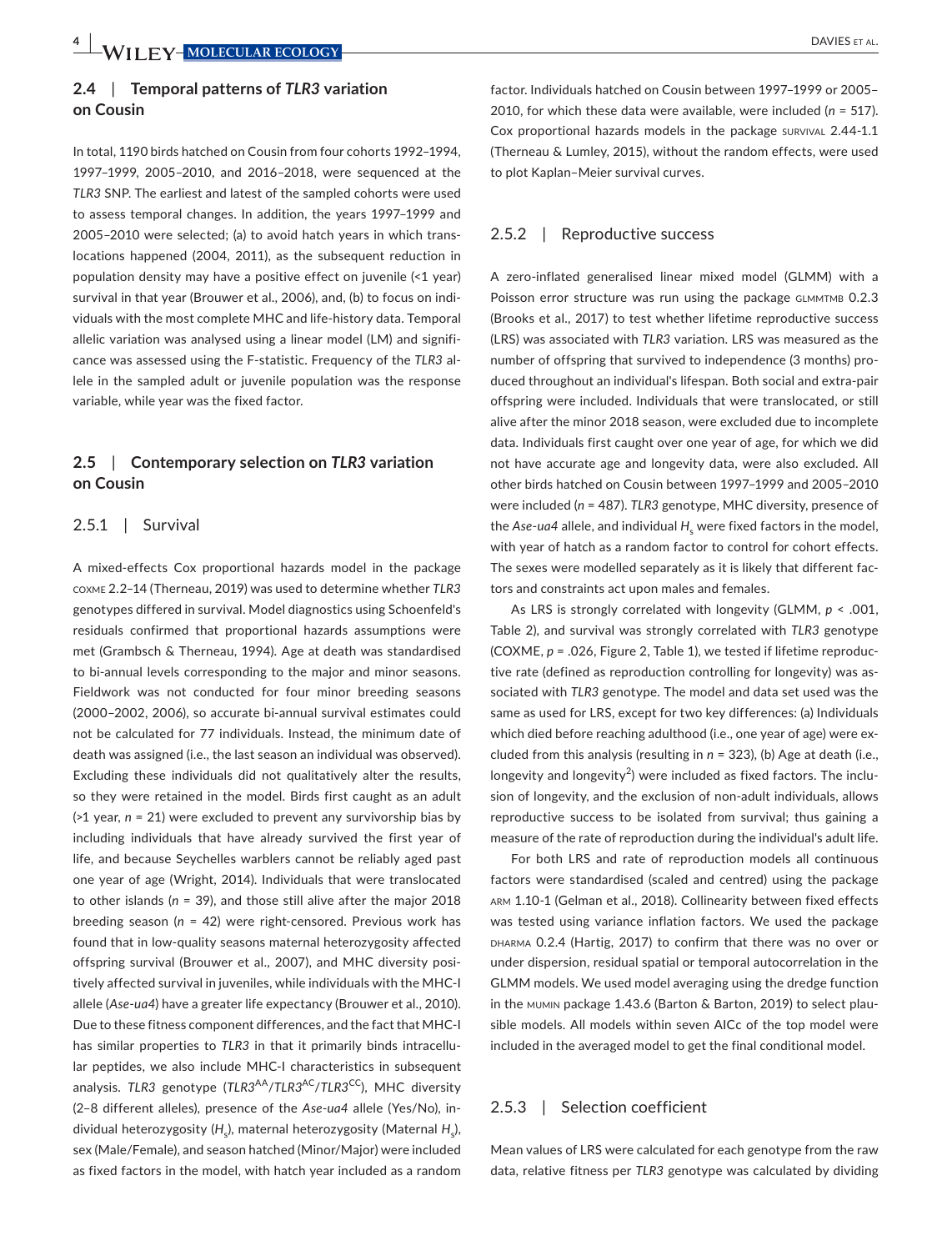## **2.4**  | **Temporal patterns of** *TLR3* **variation on Cousin**

In total, 1190 birds hatched on Cousin from four cohorts 1992–1994, 1997–1999, 2005–2010, and 2016–2018, were sequenced at the *TLR3* SNP. The earliest and latest of the sampled cohorts were used to assess temporal changes. In addition, the years 1997–1999 and 2005–2010 were selected; (a) to avoid hatch years in which translocations happened (2004, 2011), as the subsequent reduction in population density may have a positive effect on juvenile (<1 year) survival in that year (Brouwer et al., 2006), and, (b) to focus on individuals with the most complete MHC and life-history data. Temporal allelic variation was analysed using a linear model (LM) and significance was assessed using the F-statistic. Frequency of the *TLR3* allele in the sampled adult or juvenile population was the response variable, while year was the fixed factor.

## **2.5**  | **Contemporary selection on** *TLR3* **variation on Cousin**

#### 2.5.1 | Survival

A mixed-effects Cox proportional hazards model in the package coxme 2.2–14 (Therneau, 2019) was used to determine whether *TLR3* genotypes differed in survival. Model diagnostics using Schoenfeld's residuals confirmed that proportional hazards assumptions were met (Grambsch & Therneau, 1994). Age at death was standardised to bi-annual levels corresponding to the major and minor seasons. Fieldwork was not conducted for four minor breeding seasons (2000–2002, 2006), so accurate bi-annual survival estimates could not be calculated for 77 individuals. Instead, the minimum date of death was assigned (i.e., the last season an individual was observed). Excluding these individuals did not qualitatively alter the results, so they were retained in the model. Birds first caught as an adult (>1 year, *n* = 21) were excluded to prevent any survivorship bias by including individuals that have already survived the first year of life, and because Seychelles warblers cannot be reliably aged past one year of age (Wright, 2014). Individuals that were translocated to other islands (*n* = 39), and those still alive after the major 2018 breeding season (*n* = 42) were right-censored. Previous work has found that in low-quality seasons maternal heterozygosity affected offspring survival (Brouwer et al., 2007), and MHC diversity positively affected survival in juveniles, while individuals with the MHC-I allele (*Ase*-*ua4*) have a greater life expectancy (Brouwer et al., 2010). Due to these fitness component differences, and the fact that MHC-I has similar properties to *TLR3* in that it primarily binds intracellular peptides, we also include MHC-I characteristics in subsequent analysis. *TLR3* genotype (*TLR3<sup>AA</sup>/TLR3<sup>AC</sup>/TLR3<sup>CC</sup>)*, MHC diversity (2–8 different alleles), presence of the *Ase*-*ua4* allele (Yes/No), individual heterozygosity (H<sub>s</sub>), maternal heterozygosity (Maternal H<sub>s</sub>), sex (Male/Female), and season hatched (Minor/Major) were included as fixed factors in the model, with hatch year included as a random

factor. Individuals hatched on Cousin between 1997–1999 or 2005– 2010, for which these data were available, were included (*n* = 517). Cox proportional hazards models in the package survival 2.44-1.1 (Therneau & Lumley, 2015), without the random effects, were used to plot Kaplan–Meier survival curves.

#### 2.5.2 | Reproductive success

A zero-inflated generalised linear mixed model (GLMM) with a Poisson error structure was run using the package GLMMTMB 0.2.3 (Brooks et al., 2017) to test whether lifetime reproductive success (LRS) was associated with *TLR3* variation. LRS was measured as the number of offspring that survived to independence (3 months) produced throughout an individual's lifespan. Both social and extra-pair offspring were included. Individuals that were translocated, or still alive after the minor 2018 season, were excluded due to incomplete data. Individuals first caught over one year of age, for which we did not have accurate age and longevity data, were also excluded. All other birds hatched on Cousin between 1997–1999 and 2005–2010 were included (*n* = 487). *TLR3* genotype, MHC diversity, presence of the *Ase-ua4* allele, and individual  $H_{\rm s}$  were fixed factors in the model, with year of hatch as a random factor to control for cohort effects. The sexes were modelled separately as it is likely that different factors and constraints act upon males and females.

As LRS is strongly correlated with longevity (GLMM, *p* < .001, Table 2), and survival was strongly correlated with *TLR3* genotype (COXME, *p* = .026, Figure 2, Table 1), we tested if lifetime reproductive rate (defined as reproduction controlling for longevity) was associated with *TLR3* genotype. The model and data set used was the same as used for LRS, except for two key differences: (a) Individuals which died before reaching adulthood (i.e., one year of age) were excluded from this analysis (resulting in *n* = 323), (b) Age at death (i.e., longevity and longevity<sup>2</sup>) were included as fixed factors. The inclusion of longevity, and the exclusion of non-adult individuals, allows reproductive success to be isolated from survival; thus gaining a measure of the rate of reproduction during the individual's adult life.

For both LRS and rate of reproduction models all continuous factors were standardised (scaled and centred) using the package arm 1.10-1 (Gelman et al., 2018). Collinearity between fixed effects was tested using variance inflation factors. We used the package DHARMA 0.2.4 (Hartig, 2017) to confirm that there was no over or under dispersion, residual spatial or temporal autocorrelation in the GLMM models. We used model averaging using the dredge function in the mumin package 1.43.6 (Barton & Barton, 2019) to select plausible models. All models within seven AICc of the top model were included in the averaged model to get the final conditional model.

#### 2.5.3 | Selection coefficient

Mean values of LRS were calculated for each genotype from the raw data, relative fitness per *TLR3* genotype was calculated by dividing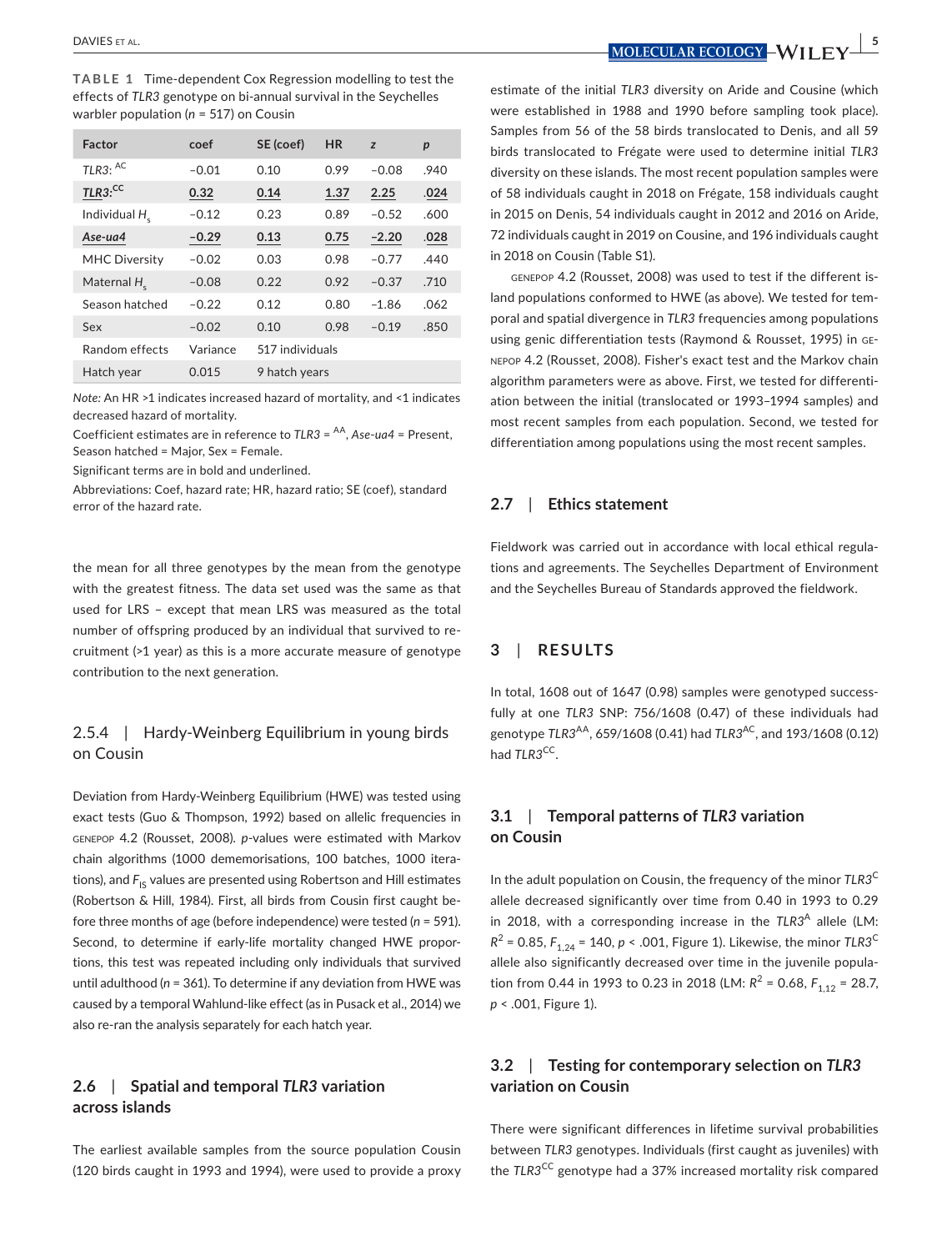**TABLE 1** Time-dependent Cox Regression modelling to test the effects of *TLR3* genotype on bi-annual survival in the Seychelles warbler population (*n* = 517) on Cousin

| Factor                    | coef     | SE (coef)       | <b>HR</b> | z       | $\boldsymbol{p}$ |
|---------------------------|----------|-----------------|-----------|---------|------------------|
| TLR3: AC                  | $-0.01$  | 0.10            | 0.99      | $-0.08$ | .940             |
| $TLR3$ <sup>cc</sup>      | 0.32     | 0.14            | 1.37      | 2.25    | .024             |
| Individual H <sub>c</sub> | $-0.12$  | 0.23            | 0.89      | $-0.52$ | .600             |
| Ase-ua4                   | $-0.29$  | 0.13            | 0.75      | $-2.20$ | .028             |
| <b>MHC Diversity</b>      | $-0.02$  | 0.03            | 0.98      | $-0.77$ | .440             |
| Maternal $Hc$             | $-0.08$  | 0.22            | 0.92      | $-0.37$ | .710             |
| Season hatched            | $-0.22$  | 0.12            | 0.80      | $-1.86$ | .062             |
| Sex                       | $-0.02$  | 0.10            | 0.98      | $-0.19$ | .850             |
| Random effects            | Variance | 517 individuals |           |         |                  |
| Hatch year                | 0.015    | 9 hatch years   |           |         |                  |

*Note:* An HR >1 indicates increased hazard of mortality, and <1 indicates decreased hazard of mortality.

Coefficient estimates are in reference to *TLR3* = AA, *Ase*-*ua4* = Present, Season hatched = Major, Sex = Female.

Significant terms are in bold and underlined.

Abbreviations: Coef, hazard rate; HR, hazard ratio; SE (coef), standard error of the hazard rate.

the mean for all three genotypes by the mean from the genotype with the greatest fitness. The data set used was the same as that used for LRS – except that mean LRS was measured as the total number of offspring produced by an individual that survived to recruitment (>1 year) as this is a more accurate measure of genotype contribution to the next generation.

## 2.5.4 | Hardy-Weinberg Equilibrium in young birds on Cousin

Deviation from Hardy-Weinberg Equilibrium (HWE) was tested using exact tests (Guo & Thompson, 1992) based on allelic frequencies in genepop 4.2 (Rousset, 2008). *p*-values were estimated with Markov chain algorithms (1000 dememorisations, 100 batches, 1000 iterations), and F<sub>IS</sub> values are presented using Robertson and Hill estimates (Robertson & Hill, 1984). First, all birds from Cousin first caught before three months of age (before independence) were tested (*n* = 591). Second, to determine if early-life mortality changed HWE proportions, this test was repeated including only individuals that survived until adulthood (*n* = 361). To determine if any deviation from HWE was caused by a temporal Wahlund-like effect (as in Pusack et al., 2014) we also re-ran the analysis separately for each hatch year.

## **2.6**  | **Spatial and temporal** *TLR3* **variation across islands**

The earliest available samples from the source population Cousin (120 birds caught in 1993 and 1994), were used to provide a proxy

 **DAVIES ET AL.** *<b>DAVIES ET AL. <b>SPACES ET AL. DAVIES ET AL. <b>SPACES ET AL. DECULARECOLOGY – WILLE* 

estimate of the initial *TLR3* diversity on Aride and Cousine (which were established in 1988 and 1990 before sampling took place). Samples from 56 of the 58 birds translocated to Denis, and all 59 birds translocated to Frégate were used to determine initial *TLR3* diversity on these islands. The most recent population samples were of 58 individuals caught in 2018 on Frégate, 158 individuals caught in 2015 on Denis, 54 individuals caught in 2012 and 2016 on Aride, 72 individuals caught in 2019 on Cousine, and 196 individuals caught in 2018 on Cousin (Table S1).

genepop 4.2 (Rousset, 2008) was used to test if the different island populations conformed to HWE (as above). We tested for temporal and spatial divergence in *TLR3* frequencies among populations using genic differentiation tests (Raymond & Rousset, 1995) in genepop 4.2 (Rousset, 2008). Fisher's exact test and the Markov chain algorithm parameters were as above. First, we tested for differentiation between the initial (translocated or 1993–1994 samples) and most recent samples from each population. Second, we tested for differentiation among populations using the most recent samples.

### **2.7**  | **Ethics statement**

Fieldwork was carried out in accordance with local ethical regulations and agreements. The Seychelles Department of Environment and the Seychelles Bureau of Standards approved the fieldwork.

#### **3**  | **RESULTS**

In total, 1608 out of 1647 (0.98) samples were genotyped successfully at one *TLR3* SNP: 756/1608 (0.47) of these individuals had genotype *TLR3<sup>AA</sup>*, 659/1608 (0.41) had *TLR3<sup>AC</sup>*, and 193/1608 (0.12) had *TLR3<sup>CC</sup>*.

## **3.1**  | **Temporal patterns of** *TLR3* **variation on Cousin**

In the adult population on Cousin, the frequency of the minor *TLR3*<sup>C</sup> allele decreased significantly over time from 0.40 in 1993 to 0.29 in 2018, with a corresponding increase in the TLR3<sup>A</sup> allele (LM:  $R^2$  = 0.85,  $F_{1,24}$  = 140, *p* < .001, Figure 1). Likewise, the minor *TLR3<sup>C</sup>* allele also significantly decreased over time in the juvenile population from 0.44 in 1993 to 0.23 in 2018 (LM:  $R^2$  = 0.68,  $F_{1,12}$  = 28.7, *p* < .001, Figure 1).

## **3.2**  | **Testing for contemporary selection on** *TLR3* **variation on Cousin**

There were significant differences in lifetime survival probabilities between *TLR3* genotypes. Individuals (first caught as juveniles) with the *TLR3<sup>CC</sup>* genotype had a 37% increased mortality risk compared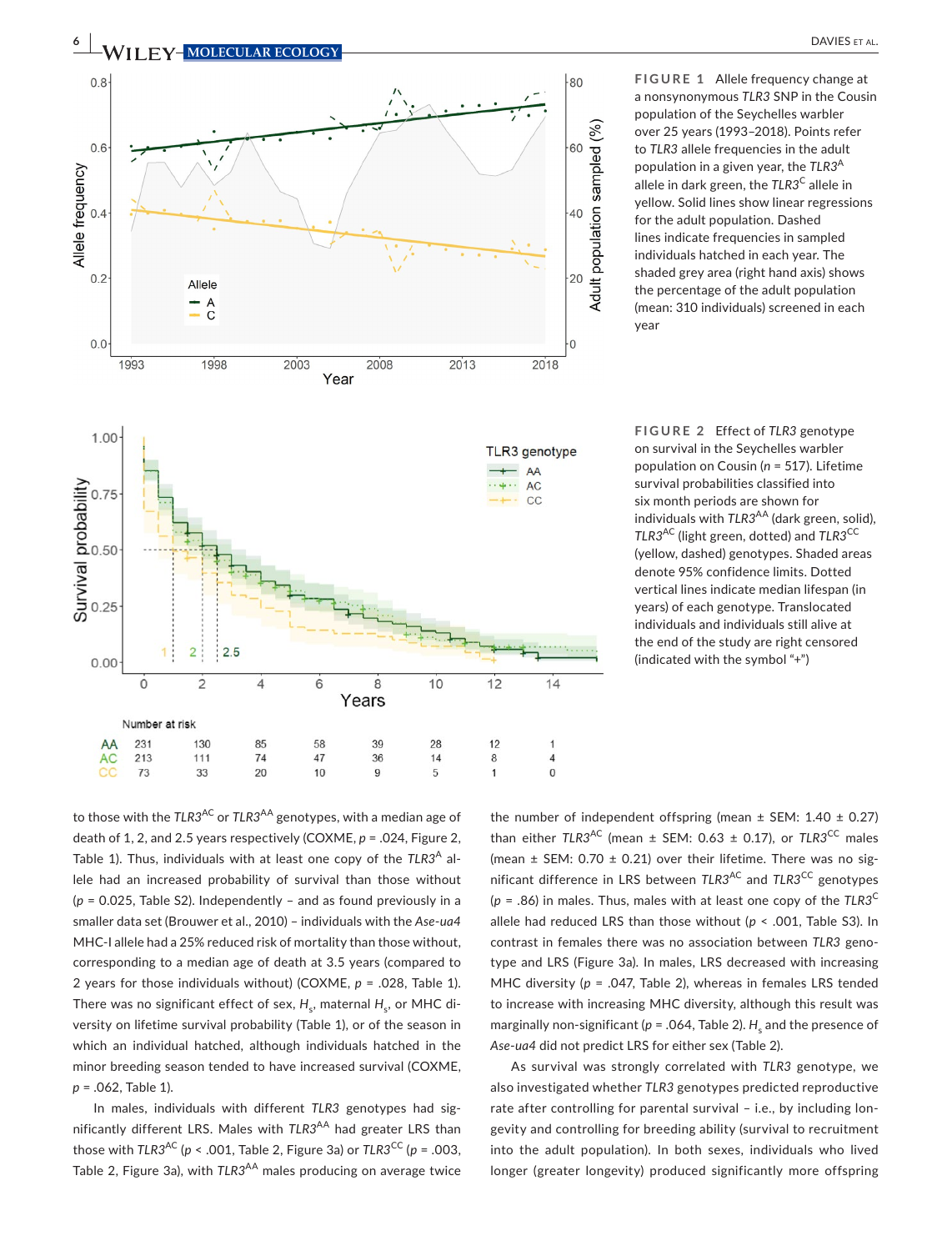

**FIGURE 1** Allele frequency change at a nonsynonymous *TLR3* SNP in the Cousin population of the Seychelles warbler over 25 years (1993–2018). Points refer to *TLR3* allele frequencies in the adult population in a given year, the *TLR3*<sup>A</sup> allele in dark green, the TLR3<sup>C</sup> allele in yellow. Solid lines show linear regressions for the adult population. Dashed lines indicate frequencies in sampled individuals hatched in each year. The shaded grey area (right hand axis) shows the percentage of the adult population (mean: 310 individuals) screened in each year

**FIGURE 2** Effect of *TLR3* genotype on survival in the Seychelles warbler population on Cousin (*n* = 517). Lifetime survival probabilities classified into six month periods are shown for individuals with *TLR3<sup>AA</sup>* (dark green, solid), *TLR3*AC (light green, dotted) and *TLR3*CC (yellow, dashed) genotypes. Shaded areas denote 95% confidence limits. Dotted vertical lines indicate median lifespan (in years) of each genotype. Translocated individuals and individuals still alive at the end of the study are right censored (indicated with the symbol "+")

to those with the *TLR3<sup>AC</sup>* or *TLR3<sup>AA</sup>* genotypes, with a median age of death of 1, 2, and 2.5 years respectively (COXME, *p* = .024, Figure 2, Table 1). Thus, individuals with at least one copy of the TLR3<sup>A</sup> allele had an increased probability of survival than those without (*p* = 0.025, Table S2). Independently – and as found previously in a smaller data set (Brouwer et al., 2010) – individuals with the *Ase*-*ua4* MHC-I allele had a 25% reduced risk of mortality than those without, corresponding to a median age of death at 3.5 years (compared to 2 years for those individuals without) (COXME, *p* = .028, Table 1). There was no significant effect of sex,  $H_{\rm s}$ , maternal  $H_{\rm s}$ , or MHC diversity on lifetime survival probability (Table 1), or of the season in which an individual hatched, although individuals hatched in the minor breeding season tended to have increased survival (COXME, *p* = .062, Table 1).

In males, individuals with different *TLR3* genotypes had significantly different LRS. Males with *TLR3<sup>AA</sup>* had greater LRS than those with  $TLR3^{AC}$  ( $p < .001$ , Table 2, Figure 3a) or  $TLR3^{CC}$  ( $p = .003$ , Table 2, Figure 3a), with *TLR3<sup>AA</sup>* males producing on average twice

the number of independent offspring (mean  $\pm$  SEM: 1.40  $\pm$  0.27) than either  $TLR3<sup>AC</sup>$  (mean  $\pm$  SEM: 0.63  $\pm$  0.17), or  $TLR3<sup>CC</sup>$  males (mean  $\pm$  SEM: 0.70  $\pm$  0.21) over their lifetime. There was no significant difference in LRS between *TLR3<sup>AC</sup>* and *TLR3<sup>CC</sup>* genotypes  $(p = .86)$  in males. Thus, males with at least one copy of the  $TLR3^C$ allele had reduced LRS than those without (*p* < .001, Table S3). In contrast in females there was no association between *TLR3* genotype and LRS (Figure 3a). In males, LRS decreased with increasing MHC diversity (*p* = .047, Table 2), whereas in females LRS tended to increase with increasing MHC diversity, although this result was marginally non-significant ( $p = .064$ , Table 2).  $H_{\rm s}$  and the presence of *Ase*-*ua4* did not predict LRS for either sex (Table 2).

As survival was strongly correlated with *TLR3* genotype, we also investigated whether *TLR3* genotypes predicted reproductive rate after controlling for parental survival – i.e., by including longevity and controlling for breeding ability (survival to recruitment into the adult population). In both sexes, individuals who lived longer (greater longevity) produced significantly more offspring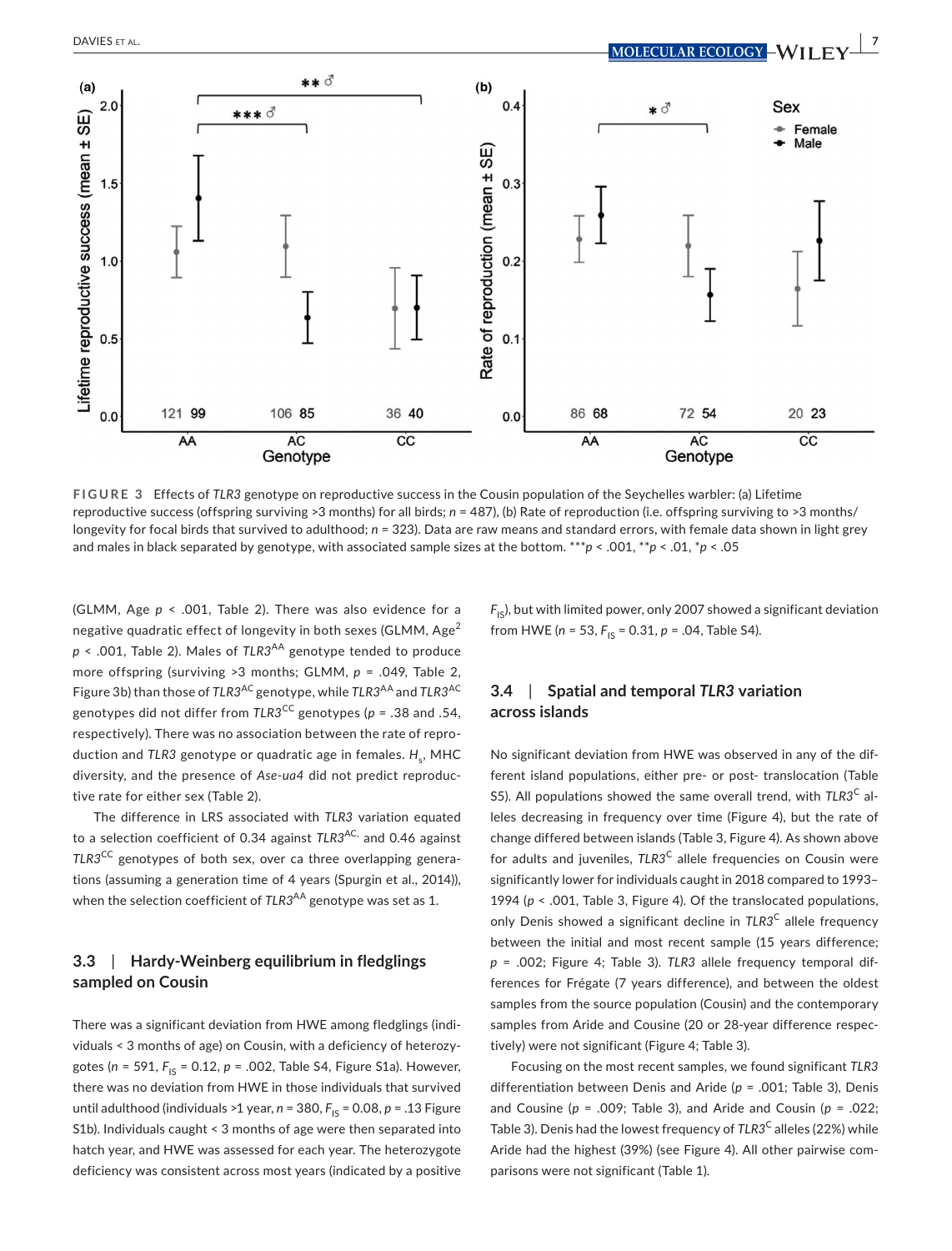

**FIGURE 3** Effects of *TLR3* genotype on reproductive success in the Cousin population of the Seychelles warbler: (a) Lifetime reproductive success (offspring surviving >3 months) for all birds; *n* = 487), (b) Rate of reproduction (i.e. offspring surviving to >3 months/ longevity for focal birds that survived to adulthood;  $n = 323$ ). Data are raw means and standard errors, with female data shown in light grey and males in black separated by genotype, with associated sample sizes at the bottom. \*\*\**p* < .001, \*\**p* < .01, \**p* < .05

(GLMM, Age *p* < .001, Table 2). There was also evidence for a negative quadratic effect of longevity in both sexes (GLMM,  $Age^2$  $p \le 0.001$ , Table 2). Males of  $TLR3^{AA}$  genotype tended to produce more offspring (surviving >3 months; GLMM, *p* = .049, Table 2, Figure 3b) than those of *TLR3*AC genotype, while *TLR3*AA and *TLR3*AC genotypes did not differ from *TLR3*CC genotypes (*p* = .38 and .54, respectively). There was no association between the rate of reproduction and *TLR3* genotype or quadratic age in females. *H<sub>c</sub>*, MHC diversity, and the presence of *Ase*-*ua4* did not predict reproductive rate for either sex (Table 2).

The difference in LRS associated with *TLR3* variation equated to a selection coefficient of 0.34 against *TLR3*AC, and 0.46 against *TLR3*CC genotypes of both sex, over ca three overlapping generations (assuming a generation time of 4 years (Spurgin et al., 2014)), when the selection coefficient of *TLR3<sup>AA</sup>* genotype was set as 1.

# **3.3**  | **Hardy-Weinberg equilibrium in fledglings sampled on Cousin**

There was a significant deviation from HWE among fledglings (individuals < 3 months of age) on Cousin, with a deficiency of heterozygotes (n = 591, F<sub>IS</sub> = 0.12, p = .002, Table S4, Figure S1a). However, there was no deviation from HWE in those individuals that survived until adulthood (individuals >1 year,  $n = 380$ ,  $F_{1S} = 0.08$ ,  $p = .13$  Figure S1b). Individuals caught < 3 months of age were then separated into hatch year, and HWE was assessed for each year. The heterozygote deficiency was consistent across most years (indicated by a positive  $F_{\text{IS}}$ ), but with limited power, only 2007 showed a significant deviation from HWE ( $n = 53$ ,  $F_{1S} = 0.31$ ,  $p = .04$ , Table S4).

# **3.4**  | **Spatial and temporal** *TLR3* **variation across islands**

No significant deviation from HWE was observed in any of the different island populations, either pre- or post- translocation (Table S5). All populations showed the same overall trend, with *TLR3*C alleles decreasing in frequency over time (Figure 4), but the rate of change differed between islands (Table 3, Figure 4). As shown above for adults and juveniles, TLR3<sup>C</sup> allele frequencies on Cousin were significantly lower for individuals caught in 2018 compared to 1993– 1994 (*p* < .001, Table 3, Figure 4). Of the translocated populations, only Denis showed a significant decline in TLR3<sup>C</sup> allele frequency between the initial and most recent sample (15 years difference; *p* = .002; Figure 4; Table 3). *TLR3* allele frequency temporal differences for Frégate (7 years difference), and between the oldest samples from the source population (Cousin) and the contemporary samples from Aride and Cousine (20 or 28-year difference respectively) were not significant (Figure 4; Table 3).

Focusing on the most recent samples, we found significant *TLR3* differentiation between Denis and Aride (*p* = .001; Table 3), Denis and Cousine (*p* = .009; Table 3), and Aride and Cousin (*p* = .022; Table 3). Denis had the lowest frequency of *TLR3*C alleles (22%) while Aride had the highest (39%) (see Figure 4). All other pairwise comparisons were not significant (Table 1).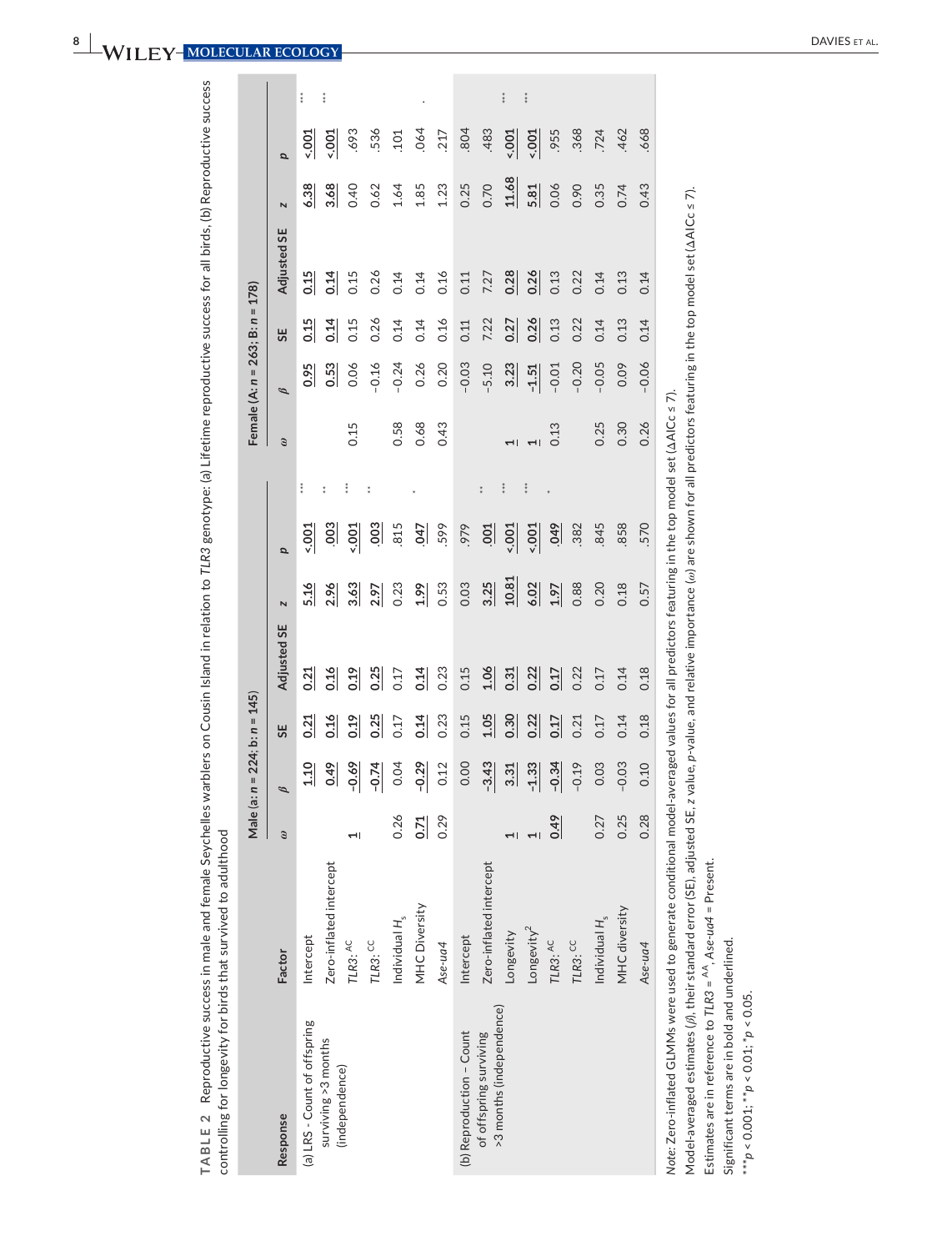|                                                                                                                                                                                                       |                         |                          | Male (a: n = 224; | $b: n = 145$ |             |       |                  |            |                          | Female (A: $n = 263$ ; B: $n = 178$ ) |      |             |       |          |                      | <b>MOLECULAR ECOLOGY</b> |
|-------------------------------------------------------------------------------------------------------------------------------------------------------------------------------------------------------|-------------------------|--------------------------|-------------------|--------------|-------------|-------|------------------|------------|--------------------------|---------------------------------------|------|-------------|-------|----------|----------------------|--------------------------|
| Response                                                                                                                                                                                              | Factor                  | $\mathcal{G}$            | $\mathscr{D}$     | 55           | Adjusted SE | N     | p                |            | $\odot$                  | $\mathscr{B}$                         | 55   | Adjusted SE | N     | p        |                      |                          |
| (a) LRS - Count of offspring                                                                                                                                                                          | Intercept               |                          | 1.10              | 0.21         | 0.21        | 5.16  | 5001             | ÷          |                          | 0.95                                  | 0.15 | 0.15        | 6.38  | $5001 -$ | $\ddot{x}$           |                          |
| surviving >3 months                                                                                                                                                                                   | Zero-inflated intercept |                          | 649               | 0.16         | 0.16        | 2.96  | .003             | t          |                          | 0.53                                  | 0.14 | 0.14        | 3.68  | $5001 -$ | ÷                    |                          |
| (independence)                                                                                                                                                                                        | TLR3: AC                | 1                        | $-0.69$           | 0.19         | 0.19        | 3.63  | 5001             | š          | 0.15                     | 0.06                                  | 0.15 | 0.15        | 0.40  | 693      |                      |                          |
|                                                                                                                                                                                                       | $TLR3$ : $CC$           |                          | $-0.74$           | 0.25         | 0.25        | 2.97  | $\frac{003}{2}$  | ÷          |                          | $-0.16$                               | 0.26 | 0.26        | 0.62  | 536      |                      |                          |
|                                                                                                                                                                                                       | Individual $H_s$        | 0.26                     | 0.04              | 0.17         | 0.17        | 0.23  | 815              |            | 0.58                     | $-0.24$                               | 0.14 | 0.14        | 1.64  | .101     |                      |                          |
|                                                                                                                                                                                                       | <b>MHC Diversity</b>    | 0.71                     | $-0.29$           | 0.14         | 0.14        | 1.99  | 047              |            | 0.68                     | 0.26                                  | 0.14 | 0.14        | 1.85  | .064     |                      |                          |
|                                                                                                                                                                                                       | Ase-ua4                 | 0.29                     | 0.12              | 0.23         | 0.23        | 0.53  | 599              |            | 0.43                     | 0.20                                  | 0.16 | 0.16        | 1.23  | .217     |                      |                          |
| (b) Reproduction - Count                                                                                                                                                                              | Intercept               |                          | 0.00              | 0.15         | 0.15        | 0.03  | .979             |            |                          | $-0.03$                               | 0.11 | 0.11        | 0.25  | .804     |                      |                          |
| of offspring surviving                                                                                                                                                                                | Zero-inflated intercept |                          | $-3.43$           | 1.05         | 1.06        | 3.25  | $\overline{100}$ | $\ddot{z}$ |                          | $-5.10$                               | 7.22 | 7.27        | 0.70  | .483     |                      |                          |
| >3 months (independence)                                                                                                                                                                              | Longevity               | $\overline{\phantom{0}}$ | 3.31              | 0.30         | 0.31        | 10.81 | 5001             |            | $\overline{\phantom{0}}$ | 3.23                                  | 0.27 | 0.28        | 11.68 | 5001     | $\ddot{\phantom{a}}$ |                          |
|                                                                                                                                                                                                       | Longevity <sup>2</sup>  | $\overline{\phantom{0}}$ | $-1.33$           | 0.22         | 0.22        | 6.02  | 5001             | ÷          | $\overline{a}$           | $-1.51$                               | 0.26 | 0.26        | 5.81  | 5001     | $\ddot{z}$           |                          |
|                                                                                                                                                                                                       | TLR3: AC                | 0.49                     | $-0.34$           | 0.17         | 0.17        | 1.97  | 60.0             |            | 0.13                     | $-0.01$                               | 0.13 | 0.13        | 0.06  | ,955     |                      |                          |
|                                                                                                                                                                                                       | TLR3: CC                |                          | $-0.19$           | 0.21         | 0.22        | 0.88  | .382             |            |                          | $-0.20$                               | 0.22 | 0.22        | 0.90  | .368     |                      |                          |
|                                                                                                                                                                                                       | Individual $H_s$        | 0.27                     | 0.03              | 0.17         | 0.17        | 0.20  | .845             |            | 0.25                     | $-0.05$                               | 0.14 | 0.14        | 0.35  | .724     |                      |                          |
|                                                                                                                                                                                                       | MHC diversity           | 0.25                     | $-0.03$           | 0.14         | 0.14        | 0.18  | .858             |            | 0.30                     | 0.09                                  | 0.13 | 0.13        | 0.74  | .462     |                      |                          |
|                                                                                                                                                                                                       | Ase-ua4                 | 0.28                     | 0.10              | 0.18         | 0.18        | 0.57  | 570              |            | 0.26                     | $-0.06$                               | 0.14 | 0.14        | 0.43  | .668     |                      |                          |
| Note: Zero-inflated GLMMs were used to generate conditional model-averaged values for all predictors featuring in the top model set (AAICc ≤ 7).                                                      |                         |                          |                   |              |             |       |                  |            |                          |                                       |      |             |       |          |                      |                          |
| Model-averaged estimates ( <i>β</i> ), their standard error (SE), adjusted SE, z value, p-value, and relative importance (ω) are shown for all predictors featuring in the top model set (ΔAICc ≤ 7). |                         |                          |                   |              |             |       |                  |            |                          |                                       |      |             |       |          |                      |                          |
| Estimates are in reference to TLR3 = $^{AA}$ , Ase-ua4 = Present.<br>Significant terms are in bold and underlined.                                                                                    |                         |                          |                   |              |             |       |                  |            |                          |                                       |      |             |       |          |                      |                          |
| *** $p < 0.001$ ; ** $p < 0.01$ ; * $p < 0.05$ .                                                                                                                                                      |                         |                          |                   |              |             |       |                  |            |                          |                                       |      |             |       |          |                      |                          |
|                                                                                                                                                                                                       |                         |                          |                   |              |             |       |                  |            |                          |                                       |      |             |       |          |                      |                          |
|                                                                                                                                                                                                       |                         |                          |                   |              |             |       |                  |            |                          |                                       |      |             |       |          |                      |                          |
|                                                                                                                                                                                                       |                         |                          |                   |              |             |       |                  |            |                          |                                       |      |             |       |          |                      | <b>DAVIES</b>            |
|                                                                                                                                                                                                       |                         |                          |                   |              |             |       |                  |            |                          |                                       |      |             |       |          |                      |                          |

8 | WI

|                                                                                                                                                  |                           |                 | Male (a: $n = 224$ ; b: $n = 145$ ) |      |             |                         |                |                      |                          | Female (A: $n = 263$ ; B: $n = 178$ ) |      |             |                         |                 |            |
|--------------------------------------------------------------------------------------------------------------------------------------------------|---------------------------|-----------------|-------------------------------------|------|-------------|-------------------------|----------------|----------------------|--------------------------|---------------------------------------|------|-------------|-------------------------|-----------------|------------|
| Response                                                                                                                                         | Factor                    | $\ddot{\omega}$ | $\mathscr{B}$                       | 55   | Adjusted SE | $\overline{\mathbf{N}}$ | p              |                      | $\odot$                  | B                                     | 55   | Adjusted SE | $\overline{\mathbf{N}}$ | p               |            |
| (a) LRS - Count of offspring                                                                                                                     | Intercept                 |                 | $\frac{110}{1}$                     | 0.21 | 0.21        | 5.16                    | $-001$         | $\ddot{x}$           |                          | 0.95                                  | 0.15 | 0.15        | 6.38                    | $rac{1001}{ }$  | $\ddot{x}$ |
| surviving >3 months                                                                                                                              | Zero-inflated intercept   |                 | 649                                 | 0.16 | 0.16        | 2.96                    | $\frac{8}{2}$  | t                    |                          | 0.53                                  | 0.14 | 0.14        | 3.68                    | $\frac{500}{2}$ | î          |
| (independence)                                                                                                                                   | TLR3: AC                  |                 | $-0.69$                             | 0.19 | 0.19        | 3.63                    | $-0.001$       | $\ddot{x}$           | 0.15                     | 0.06                                  | 0.15 | 0.15        | 0.40                    | .693            |            |
|                                                                                                                                                  | $TLR3$ : CC               |                 | $-0.74$                             | 0.25 | 0.25        | 2.97                    | $rac{3}{2}$    | t                    |                          | $-0.16$                               | 0.26 | 0.26        | 0.62                    | 536             |            |
|                                                                                                                                                  | Individual H <sub>s</sub> | 0.26            | 0.04                                | 0.17 | 0.17        | 0.23                    | 815            |                      | 0.58                     | $-0.24$                               | 0.14 | 0.14        | 1.64                    | .101            |            |
|                                                                                                                                                  | MHC Diversity             | 0.71            | $-0.29$                             | 0.14 | 0.14        | 1.99                    | $\overline{G}$ |                      | 0.68                     | 0.26                                  | 0.14 | 0.14        | 1.85                    | .064            |            |
|                                                                                                                                                  | Ase-ua4                   | 0.29            | 0.12                                | 0.23 | 0.23        | 0.53                    | 599            |                      | 0.43                     | 0.20                                  | 0.16 | 0.16        | 1.23                    | 217             |            |
| (b) Reproduction - Count                                                                                                                         | Intercept                 |                 | 0.00                                | 0.15 | 0.15        | 0.03                    | ,979           |                      |                          | $-0.03$                               | 0.11 | 0.11        | 0.25                    | .804            |            |
| of offspring surviving                                                                                                                           | Zero-inflated intercept   |                 | $-3.43$                             | 1.05 | 1.06        | 3.25                    | $\frac{1}{2}$  | $\ddot{\phantom{a}}$ |                          | $-5.10$                               | 7.22 | 7.27        | 0.70                    | .483            |            |
| >3 months (independence)                                                                                                                         | Longevity                 |                 | 3.31                                | 0.30 | 0.31        | 10.81                   | 5001           | ***                  | $\overline{\phantom{0}}$ | 3.23                                  | 0.27 | 0.28        | 11.68                   | 5001            | ***        |
|                                                                                                                                                  | Longevity <sup>2</sup>    |                 | $-1.33$                             | 0.22 | 0.22        | 6.02                    | 5001           | $\ddot{\ddot{\ } }$  |                          | $-1.51$                               | 0.26 | 0.26        | 5.81                    | 5001            | î          |
|                                                                                                                                                  | TLR3: AC                  | 0.49            | $-0.34$                             | 0.17 | 0.17        | 1.97                    | 640            |                      | 0.13                     | $-0.01$                               | 0.13 | 0.13        | 0.06                    | ,955            |            |
|                                                                                                                                                  | TLR3: CC                  |                 | $-0.19$                             | 0.21 | 0.22        | 0.88                    | .382           |                      |                          | $-0.20$                               | 0.22 | 0.22        | 0.90                    | .368            |            |
|                                                                                                                                                  | Individual $H_s$          | 0.27            | 0.03                                | 0.17 | 0.17        | 0.20                    | 845            |                      | 0.25                     | $-0.05$                               | 0.14 | 0.14        | 0.35                    | .724            |            |
|                                                                                                                                                  | MHC diversity             | 0.25            | $-0.03$                             | 0.14 | 0.14        | 0.18                    | .858           |                      | 0.30                     | 0.09                                  | 0.13 | 0.13        | 0.74                    | 462             |            |
|                                                                                                                                                  | Ase-ua4                   | 0.28            | 0.10                                | 0.18 | 0.18        | 0.57                    | 570            |                      | 0.26                     | $-0.06$                               | 0.14 | 0.14        | 0.43                    | 668             |            |
| Note: Zero-inflated GLMMs were used to generate conditional model-averaged values for all predictors featuring in the top model set (ΔAICc ≤ 7). |                           |                 |                                     |      |             |                         |                |                      |                          |                                       |      |             |                         |                 |            |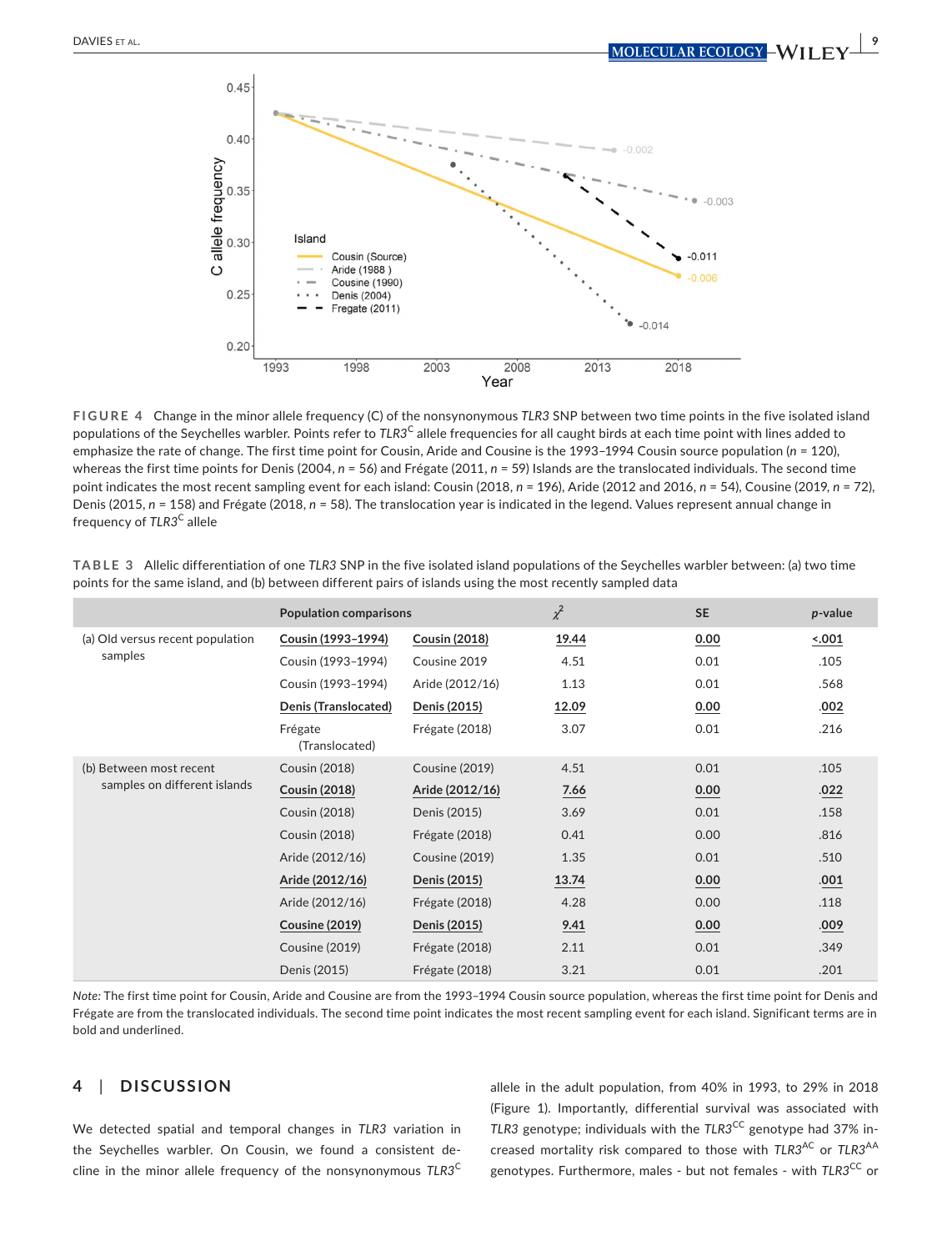

**FIGURE 4** Change in the minor allele frequency (C) of the nonsynonymous *TLR3* SNP between two time points in the five isolated island populations of the Seychelles warbler. Points refer to *TLR3*C allele frequencies for all caught birds at each time point with lines added to emphasize the rate of change. The first time point for Cousin, Aride and Cousine is the 1993–1994 Cousin source population (*n* = 120), whereas the first time points for Denis (2004, *n* = 56) and Frégate (2011, *n* = 59) Islands are the translocated individuals. The second time point indicates the most recent sampling event for each island: Cousin (2018, *n* = 196), Aride (2012 and 2016, *n* = 54), Cousine (2019, *n* = 72), Denis (2015, *n* = 158) and Frégate (2018, *n* = 58). The translocation year is indicated in the legend. Values represent annual change in frequency of TLR3<sup>C</sup> allele

|                                  | <b>Population comparisons</b> |                       | $\chi^2$ | <b>SE</b> | $p$ -value |
|----------------------------------|-------------------------------|-----------------------|----------|-----------|------------|
| (a) Old versus recent population | Cousin (1993-1994)            | <b>Cousin (2018)</b>  | 19.44    | 0.00      | 001        |
| samples                          | Cousin (1993-1994)            | Cousine 2019          | 4.51     | 0.01      | .105       |
|                                  | Cousin (1993-1994)            | Aride (2012/16)       | 1.13     | 0.01      | .568       |
|                                  | Denis (Translocated)          | Denis (2015)          | 12.09    | 0.00      | .002       |
|                                  | Frégate<br>(Translocated)     | Frégate (2018)        | 3.07     | 0.01      | .216       |
| (b) Between most recent          | <b>Cousin (2018)</b>          | <b>Cousine (2019)</b> | 4.51     | 0.01      | .105       |
| samples on different islands     | <b>Cousin (2018)</b>          | Aride (2012/16)       | 7.66     | 0.00      | .022       |
|                                  | Cousin (2018)                 | Denis (2015)          | 3.69     | 0.01      | .158       |
|                                  | <b>Cousin (2018)</b>          | Frégate (2018)        | 0.41     | 0.00      | .816       |
|                                  | Aride (2012/16)               | Cousine (2019)        | 1.35     | 0.01      | .510       |
|                                  | Aride (2012/16)               | Denis (2015)          | 13.74    | 0.00      | .001       |
|                                  | Aride (2012/16)               | Frégate (2018)        | 4.28     | 0.00      | .118       |
|                                  | <b>Cousine (2019)</b>         | Denis (2015)          | 9.41     | 0.00      | .009       |
|                                  | Cousine (2019)                | Frégate (2018)        | 2.11     | 0.01      | .349       |
|                                  | Denis (2015)                  | Frégate (2018)        | 3.21     | 0.01      | .201       |

**TABLE 3** Allelic differentiation of one *TLR3* SNP in the five isolated island populations of the Seychelles warbler between: (a) two time points for the same island, and (b) between different pairs of islands using the most recently sampled data

*Note:* The first time point for Cousin, Aride and Cousine are from the 1993–1994 Cousin source population, whereas the first time point for Denis and Frégate are from the translocated individuals. The second time point indicates the most recent sampling event for each island. Significant terms are in bold and underlined.

## **4**  | **DISCUSSION**

We detected spatial and temporal changes in *TLR3* variation in the Seychelles warbler. On Cousin, we found a consistent decline in the minor allele frequency of the nonsynonymous *TLR3*<sup>C</sup> allele in the adult population, from 40% in 1993, to 29% in 2018 (Figure 1). Importantly, differential survival was associated with *TLR3* genotype; individuals with the *TLR3<sup>CC</sup>* genotype had 37% increased mortality risk compared to those with *TLR3<sup>AC</sup>* or *TLR3<sup>AA</sup>* genotypes. Furthermore, males - but not females - with *TLR3<sup>CC</sup>* or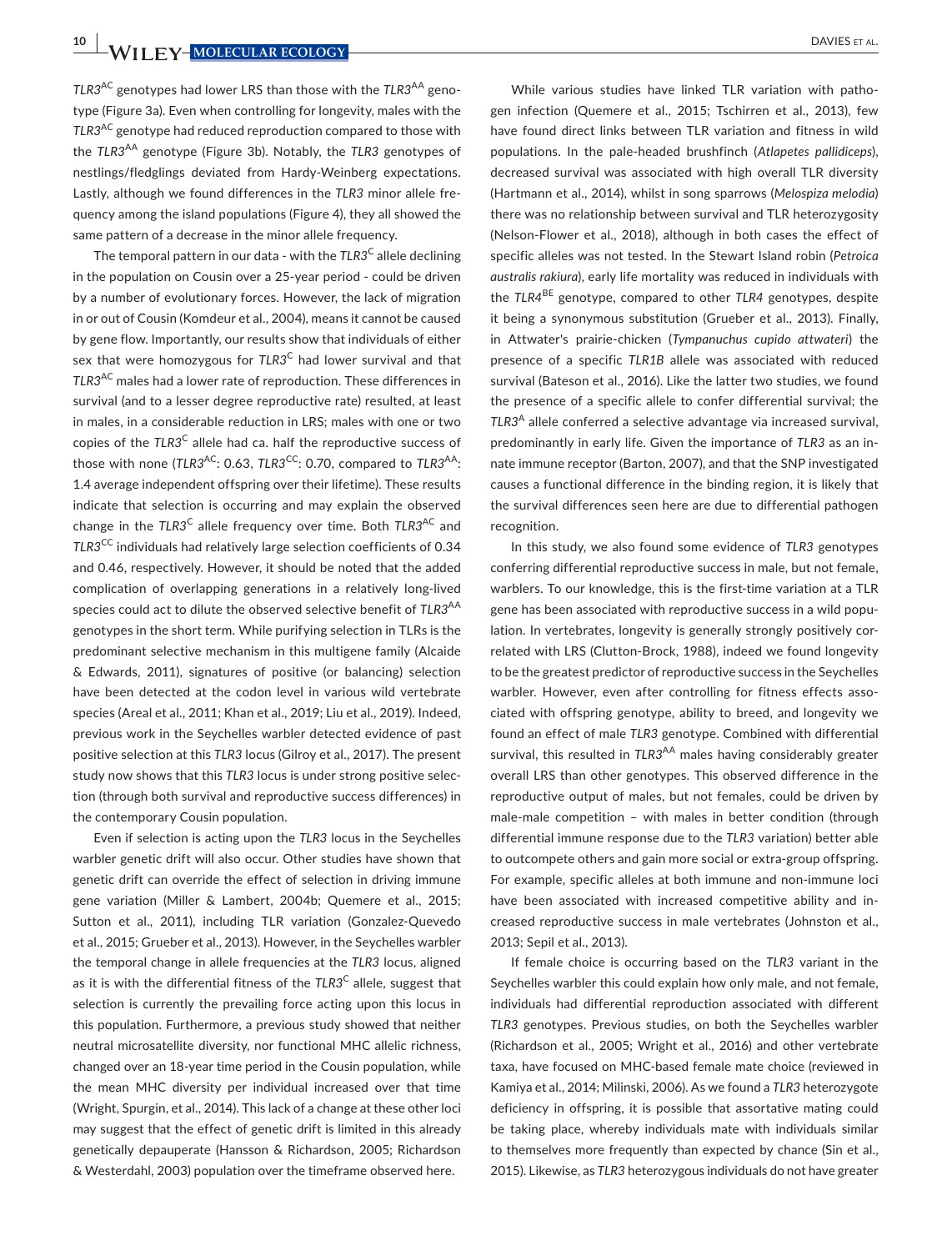**10 | WII FY-MOLECULAR ECOLOGY** | DAVIES ET AL.

*TLR3*AC genotypes had lower LRS than those with the *TLR3*AA genotype (Figure 3a). Even when controlling for longevity, males with the *TLR3*AC genotype had reduced reproduction compared to those with the *TLR3*AA genotype (Figure 3b). Notably, the *TLR3* genotypes of nestlings/fledglings deviated from Hardy-Weinberg expectations. Lastly, although we found differences in the *TLR3* minor allele frequency among the island populations (Figure 4), they all showed the same pattern of a decrease in the minor allele frequency.

The temporal pattern in our data - with the *TLR3*C allele declining in the population on Cousin over a 25-year period - could be driven by a number of evolutionary forces. However, the lack of migration in or out of Cousin (Komdeur et al., 2004), means it cannot be caused by gene flow. Importantly, our results show that individuals of either sex that were homozygous for *TLR3*C had lower survival and that *TLR3*AC males had a lower rate of reproduction. These differences in survival (and to a lesser degree reproductive rate) resulted, at least in males, in a considerable reduction in LRS; males with one or two copies of the *TLR3*C allele had ca. half the reproductive success of those with none (*TLR3<sup>AC</sup>*: 0.63, *TLR3<sup>CC</sup>*: 0.70, compared to *TLR3<sup>AA</sup>*: 1.4 average independent offspring over their lifetime). These results indicate that selection is occurring and may explain the observed change in the *TLR3*C allele frequency over time. Both *TLR3*AC and *TLR3*CC individuals had relatively large selection coefficients of 0.34 and 0.46, respectively. However, it should be noted that the added complication of overlapping generations in a relatively long-lived species could act to dilute the observed selective benefit of *TLR3*AA genotypes in the short term. While purifying selection in TLRs is the predominant selective mechanism in this multigene family (Alcaide & Edwards, 2011), signatures of positive (or balancing) selection have been detected at the codon level in various wild vertebrate species (Areal et al., 2011; Khan et al., 2019; Liu et al., 2019). Indeed, previous work in the Seychelles warbler detected evidence of past positive selection at this *TLR3* locus (Gilroy et al., 2017). The present study now shows that this *TLR3* locus is under strong positive selection (through both survival and reproductive success differences) in the contemporary Cousin population.

Even if selection is acting upon the *TLR3* locus in the Seychelles warbler genetic drift will also occur. Other studies have shown that genetic drift can override the effect of selection in driving immune gene variation (Miller & Lambert, 2004b; Quemere et al., 2015; Sutton et al., 2011), including TLR variation (Gonzalez-Quevedo et al., 2015; Grueber et al., 2013). However, in the Seychelles warbler the temporal change in allele frequencies at the *TLR3* locus, aligned as it is with the differential fitness of the *TLR3<sup>C</sup>* allele, suggest that selection is currently the prevailing force acting upon this locus in this population. Furthermore, a previous study showed that neither neutral microsatellite diversity, nor functional MHC allelic richness, changed over an 18-year time period in the Cousin population, while the mean MHC diversity per individual increased over that time (Wright, Spurgin, et al., 2014). This lack of a change at these other loci may suggest that the effect of genetic drift is limited in this already genetically depauperate (Hansson & Richardson, 2005; Richardson & Westerdahl, 2003) population over the timeframe observed here.

While various studies have linked TLR variation with pathogen infection (Quemere et al., 2015; Tschirren et al., 2013), few have found direct links between TLR variation and fitness in wild populations. In the pale-headed brushfinch (*Atlapetes pallidiceps*), decreased survival was associated with high overall TLR diversity (Hartmann et al., 2014), whilst in song sparrows (*Melospiza melodia*) there was no relationship between survival and TLR heterozygosity (Nelson-Flower et al., 2018), although in both cases the effect of specific alleles was not tested. In the Stewart Island robin (*Petroica australis rakiura*), early life mortality was reduced in individuals with the *TLR4*BE genotype, compared to other *TLR4* genotypes, despite it being a synonymous substitution (Grueber et al., 2013). Finally, in Attwater's prairie-chicken (*Tympanuchus cupido attwateri*) the presence of a specific *TLR1B* allele was associated with reduced survival (Bateson et al., 2016). Like the latter two studies, we found the presence of a specific allele to confer differential survival; the *TLR3*A allele conferred a selective advantage via increased survival, predominantly in early life. Given the importance of *TLR3* as an innate immune receptor (Barton, 2007), and that the SNP investigated causes a functional difference in the binding region, it is likely that the survival differences seen here are due to differential pathogen recognition.

In this study, we also found some evidence of *TLR3* genotypes conferring differential reproductive success in male, but not female, warblers. To our knowledge, this is the first-time variation at a TLR gene has been associated with reproductive success in a wild population. In vertebrates, longevity is generally strongly positively correlated with LRS (Clutton-Brock, 1988), indeed we found longevity to be the greatest predictor of reproductive success in the Seychelles warbler. However, even after controlling for fitness effects associated with offspring genotype, ability to breed, and longevity we found an effect of male *TLR3* genotype. Combined with differential survival, this resulted in TLR3<sup>AA</sup> males having considerably greater overall LRS than other genotypes. This observed difference in the reproductive output of males, but not females, could be driven by male-male competition – with males in better condition (through differential immune response due to the *TLR3* variation) better able to outcompete others and gain more social or extra-group offspring. For example, specific alleles at both immune and non-immune loci have been associated with increased competitive ability and increased reproductive success in male vertebrates (Johnston et al., 2013; Sepil et al., 2013).

If female choice is occurring based on the *TLR3* variant in the Seychelles warbler this could explain how only male, and not female, individuals had differential reproduction associated with different *TLR3* genotypes. Previous studies, on both the Seychelles warbler (Richardson et al., 2005; Wright et al., 2016) and other vertebrate taxa, have focused on MHC-based female mate choice (reviewed in Kamiya et al., 2014; Milinski, 2006). As we found a *TLR3* heterozygote deficiency in offspring, it is possible that assortative mating could be taking place, whereby individuals mate with individuals similar to themselves more frequently than expected by chance (Sin et al., 2015). Likewise, as *TLR3* heterozygous individuals do not have greater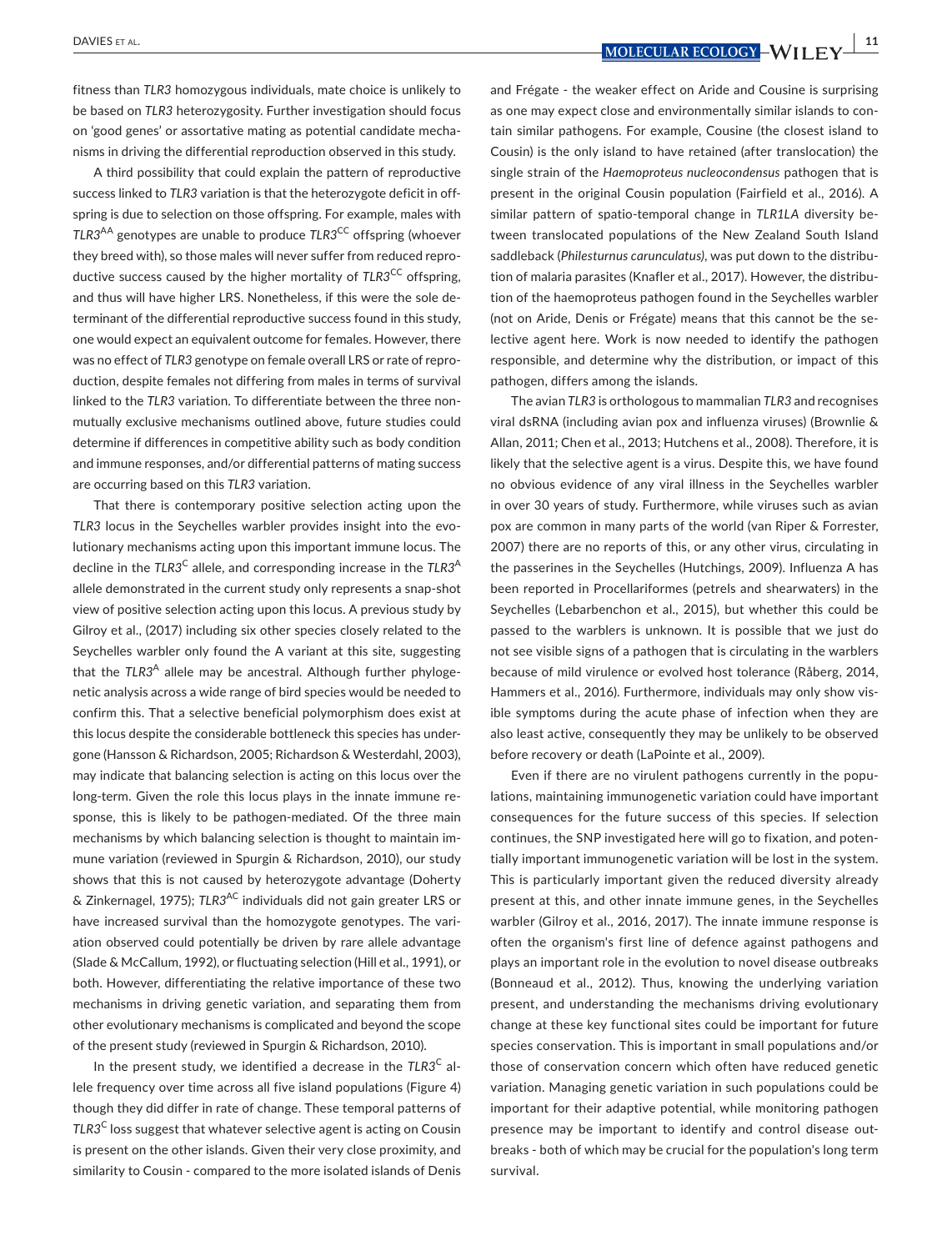fitness than *TLR3* homozygous individuals, mate choice is unlikely to be based on *TLR3* heterozygosity. Further investigation should focus on 'good genes' or assortative mating as potential candidate mechanisms in driving the differential reproduction observed in this study.

A third possibility that could explain the pattern of reproductive success linked to *TLR3* variation is that the heterozygote deficit in offspring is due to selection on those offspring. For example, males with *TLR3*AA genotypes are unable to produce *TLR3*CC offspring (whoever they breed with), so those males will never suffer from reduced reproductive success caused by the higher mortality of *TLR3<sup>CC</sup>* offspring, and thus will have higher LRS. Nonetheless, if this were the sole determinant of the differential reproductive success found in this study, one would expect an equivalent outcome for females. However, there was no effect of *TLR3* genotype on female overall LRS or rate of reproduction, despite females not differing from males in terms of survival linked to the *TLR3* variation. To differentiate between the three nonmutually exclusive mechanisms outlined above, future studies could determine if differences in competitive ability such as body condition and immune responses, and/or differential patterns of mating success are occurring based on this *TLR3* variation.

That there is contemporary positive selection acting upon the *TLR3* locus in the Seychelles warbler provides insight into the evolutionary mechanisms acting upon this important immune locus. The decline in the *TLR3<sup>C</sup>* allele, and corresponding increase in the *TLR3<sup>A</sup>* allele demonstrated in the current study only represents a snap-shot view of positive selection acting upon this locus. A previous study by Gilroy et al., (2017) including six other species closely related to the Seychelles warbler only found the A variant at this site, suggesting that the *TLR3<sup>A</sup>* allele may be ancestral. Although further phylogenetic analysis across a wide range of bird species would be needed to confirm this. That a selective beneficial polymorphism does exist at this locus despite the considerable bottleneck this species has undergone (Hansson & Richardson, 2005; Richardson & Westerdahl, 2003), may indicate that balancing selection is acting on this locus over the long-term. Given the role this locus plays in the innate immune response, this is likely to be pathogen-mediated. Of the three main mechanisms by which balancing selection is thought to maintain immune variation (reviewed in Spurgin & Richardson, 2010), our study shows that this is not caused by heterozygote advantage (Doherty & Zinkernagel, 1975); *TLR3*AC individuals did not gain greater LRS or have increased survival than the homozygote genotypes. The variation observed could potentially be driven by rare allele advantage (Slade & McCallum, 1992), or fluctuating selection (Hill et al., 1991), or both. However, differentiating the relative importance of these two mechanisms in driving genetic variation, and separating them from other evolutionary mechanisms is complicated and beyond the scope of the present study (reviewed in Spurgin & Richardson, 2010).

In the present study, we identified a decrease in the *TLR3*C allele frequency over time across all five island populations (Figure 4) though they did differ in rate of change. These temporal patterns of *TLR3*C loss suggest that whatever selective agent is acting on Cousin is present on the other islands. Given their very close proximity, and similarity to Cousin - compared to the more isolated islands of Denis

 **DAVIES** ET AL. *<b>DAVIES ET AL. <b>11</del> <i><b>MOLECULAR ECOLOGY – WII FY* 

and Frégate - the weaker effect on Aride and Cousine is surprising as one may expect close and environmentally similar islands to contain similar pathogens. For example, Cousine (the closest island to Cousin) is the only island to have retained (after translocation) the single strain of the *Haemoproteus nucleocondensus* pathogen that is present in the original Cousin population (Fairfield et al., 2016). A similar pattern of spatio-temporal change in *TLR1LA* diversity between translocated populations of the New Zealand South Island saddleback (*Philesturnus carunculatus)*, was put down to the distribution of malaria parasites (Knafler et al., 2017). However, the distribution of the haemoproteus pathogen found in the Seychelles warbler (not on Aride, Denis or Frégate) means that this cannot be the selective agent here. Work is now needed to identify the pathogen responsible, and determine why the distribution, or impact of this pathogen, differs among the islands.

The avian *TLR3* is orthologous to mammalian *TLR3* and recognises viral dsRNA (including avian pox and influenza viruses) (Brownlie & Allan, 2011; Chen et al., 2013; Hutchens et al., 2008). Therefore, it is likely that the selective agent is a virus. Despite this, we have found no obvious evidence of any viral illness in the Seychelles warbler in over 30 years of study. Furthermore, while viruses such as avian pox are common in many parts of the world (van Riper & Forrester, 2007) there are no reports of this, or any other virus, circulating in the passerines in the Seychelles (Hutchings, 2009). Influenza A has been reported in Procellariformes (petrels and shearwaters) in the Seychelles (Lebarbenchon et al., 2015), but whether this could be passed to the warblers is unknown. It is possible that we just do not see visible signs of a pathogen that is circulating in the warblers because of mild virulence or evolved host tolerance (Råberg, 2014, Hammers et al., 2016). Furthermore, individuals may only show visible symptoms during the acute phase of infection when they are also least active, consequently they may be unlikely to be observed before recovery or death (LaPointe et al., 2009).

Even if there are no virulent pathogens currently in the populations, maintaining immunogenetic variation could have important consequences for the future success of this species. If selection continues, the SNP investigated here will go to fixation, and potentially important immunogenetic variation will be lost in the system. This is particularly important given the reduced diversity already present at this, and other innate immune genes, in the Seychelles warbler (Gilroy et al., 2016, 2017). The innate immune response is often the organism's first line of defence against pathogens and plays an important role in the evolution to novel disease outbreaks (Bonneaud et al., 2012). Thus, knowing the underlying variation present, and understanding the mechanisms driving evolutionary change at these key functional sites could be important for future species conservation. This is important in small populations and/or those of conservation concern which often have reduced genetic variation. Managing genetic variation in such populations could be important for their adaptive potential, while monitoring pathogen presence may be important to identify and control disease outbreaks - both of which may be crucial for the population's long term survival.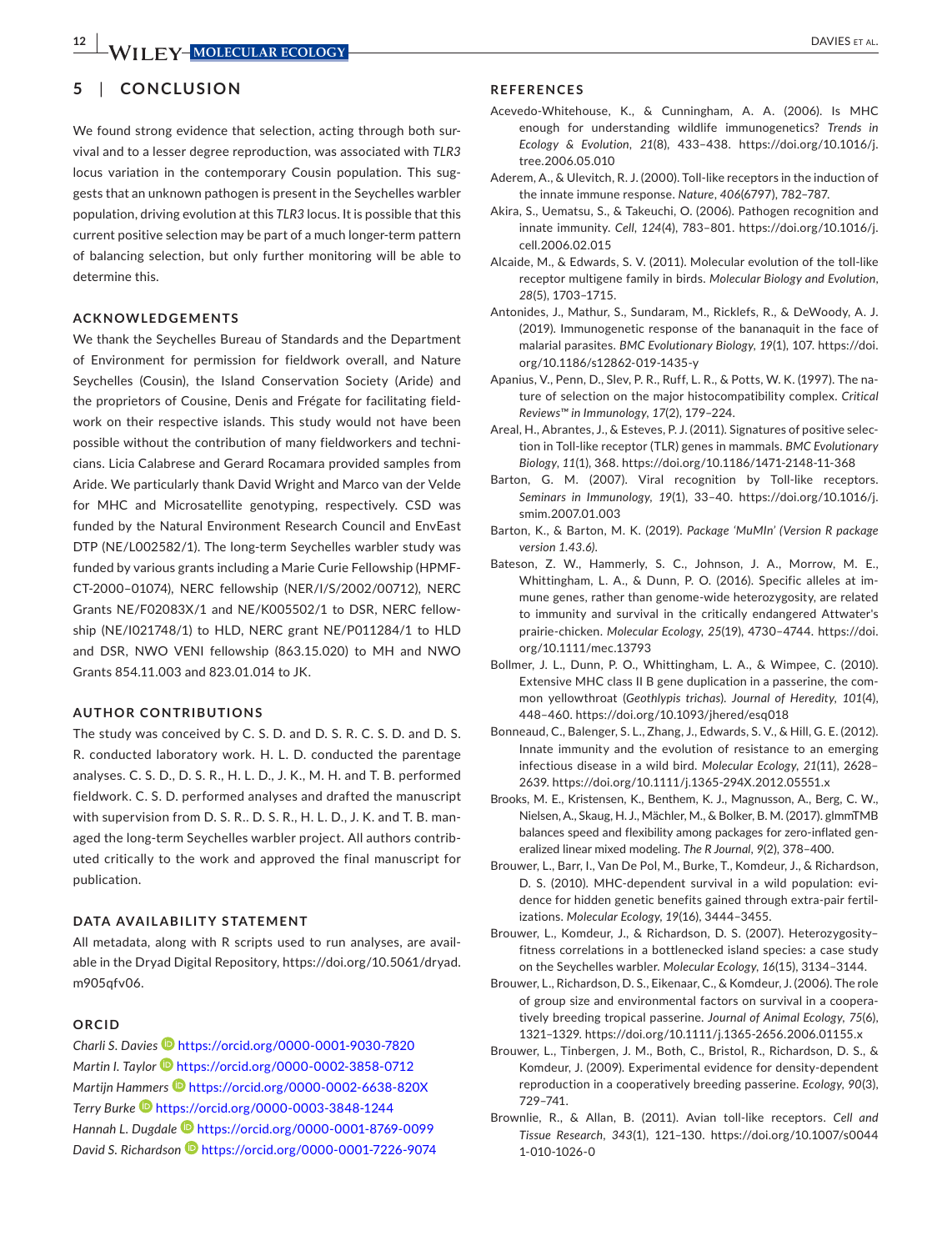## **5**  | **CONCLUSION**

We found strong evidence that selection, acting through both survival and to a lesser degree reproduction, was associated with *TLR3* locus variation in the contemporary Cousin population. This suggests that an unknown pathogen is present in the Seychelles warbler population, driving evolution at this *TLR3* locus. It is possible that this current positive selection may be part of a much longer-term pattern of balancing selection, but only further monitoring will be able to determine this.

### **ACKNOWLEDGEMENTS**

We thank the Seychelles Bureau of Standards and the Department of Environment for permission for fieldwork overall, and Nature Seychelles (Cousin), the Island Conservation Society (Aride) and the proprietors of Cousine, Denis and Frégate for facilitating fieldwork on their respective islands. This study would not have been possible without the contribution of many fieldworkers and technicians. Licia Calabrese and Gerard Rocamara provided samples from Aride. We particularly thank David Wright and Marco van der Velde for MHC and Microsatellite genotyping, respectively. CSD was funded by the Natural Environment Research Council and EnvEast DTP (NE/L002582/1). The long-term Seychelles warbler study was funded by various grants including a Marie Curie Fellowship (HPMF-CT-2000–01074), NERC fellowship (NER/I/S/2002/00712), NERC Grants NE/F02083X/1 and NE/K005502/1 to DSR, NERC fellowship (NE/I021748/1) to HLD, NERC grant NE/P011284/1 to HLD and DSR, NWO VENI fellowship (863.15.020) to MH and NWO Grants 854.11.003 and 823.01.014 to JK.

#### **AUTHOR CONTRIBUTIONS**

The study was conceived by C. S. D. and D. S. R. C. S. D. and D. S. R. conducted laboratory work. H. L. D. conducted the parentage analyses. C. S. D., D. S. R., H. L. D., J. K., M. H. and T. B. performed fieldwork. C. S. D. performed analyses and drafted the manuscript with supervision from D. S. R.. D. S. R., H. L. D., J. K. and T. B. managed the long-term Seychelles warbler project. All authors contributed critically to the work and approved the final manuscript for publication.

#### **DATA AVAILABILITY STATEMENT**

All metadata, along with R scripts used to run analyses, are available in the Dryad Digital Repository, [https://doi.org/10.5061/dryad.](https://doi.org/10.5061/dryad.m905qfv06) [m905qfv06](https://doi.org/10.5061/dryad.m905qfv06).

#### **ORCID**

*Charli S. Davies* <https://orcid.org/0000-0001-9030-7820> *Martin I. Taylor* <https://orcid.org/0000-0002-3858-0712> *Martijn Hammers* **D** <https://orcid.org/0000-0002-6638-820X> *Terry Burke* <https://orcid.org/0000-0003-3848-1244> *Hannah L. Dugdale* <https://orcid.org/0000-0001-8769-0099> *David S. Richardson* <https://orcid.org/0000-0001-7226-9074>

#### **REFERENCES**

- Acevedo-Whitehouse, K., & Cunningham, A. A. (2006). Is MHC enough for understanding wildlife immunogenetics? *Trends in Ecology & Evolution*, *21*(8), 433–438. [https://doi.org/10.1016/j.](https://doi.org/10.1016/j.tree.2006.05.010) [tree.2006.05.010](https://doi.org/10.1016/j.tree.2006.05.010)
- Aderem, A., & Ulevitch, R. J. (2000). Toll-like receptors in the induction of the innate immune response. *Nature*, *406*(6797), 782–787.
- Akira, S., Uematsu, S., & Takeuchi, O. (2006). Pathogen recognition and innate immunity. *Cell*, *124*(4), 783–801. [https://doi.org/10.1016/j.](https://doi.org/10.1016/j.cell.2006.02.015) [cell.2006.02.015](https://doi.org/10.1016/j.cell.2006.02.015)
- Alcaide, M., & Edwards, S. V. (2011). Molecular evolution of the toll-like receptor multigene family in birds. *Molecular Biology and Evolution*, *28*(5), 1703–1715.
- Antonides, J., Mathur, S., Sundaram, M., Ricklefs, R., & DeWoody, A. J. (2019). Immunogenetic response of the bananaquit in the face of malarial parasites. *BMC Evolutionary Biology*, *19*(1), 107. [https://doi.](https://doi.org/10.1186/s12862-019-1435-y) [org/10.1186/s12862-019-1435-y](https://doi.org/10.1186/s12862-019-1435-y)
- Apanius, V., Penn, D., Slev, P. R., Ruff, L. R., & Potts, W. K. (1997). The nature of selection on the major histocompatibility complex. *Critical Reviews™ in Immunology*, *17*(2), 179–224.
- Areal, H., Abrantes, J., & Esteves, P. J. (2011). Signatures of positive selection in Toll-like receptor (TLR) genes in mammals. *BMC Evolutionary Biology*, *11*(1), 368.<https://doi.org/10.1186/1471-2148-11-368>
- Barton, G. M. (2007). Viral recognition by Toll-like receptors. *Seminars in Immunology*, *19*(1), 33–40. [https://doi.org/10.1016/j.](https://doi.org/10.1016/j.smim.2007.01.003) [smim.2007.01.003](https://doi.org/10.1016/j.smim.2007.01.003)
- Barton, K., & Barton, M. K. (2019). *Package 'MuMIn' (Version R package version 1.43.6)*.
- Bateson, Z. W., Hammerly, S. C., Johnson, J. A., Morrow, M. E., Whittingham, L. A., & Dunn, P. O. (2016). Specific alleles at immune genes, rather than genome-wide heterozygosity, are related to immunity and survival in the critically endangered Attwater's prairie-chicken. *Molecular Ecology*, *25*(19), 4730–4744. [https://doi.](https://doi.org/10.1111/mec.13793) [org/10.1111/mec.13793](https://doi.org/10.1111/mec.13793)
- Bollmer, J. L., Dunn, P. O., Whittingham, L. A., & Wimpee, C. (2010). Extensive MHC class II B gene duplication in a passerine, the common yellowthroat (*Geothlypis trichas*). *Journal of Heredity*, *101*(4), 448–460.<https://doi.org/10.1093/jhered/esq018>
- Bonneaud, C., Balenger, S. L., Zhang, J., Edwards, S. V., & Hill, G. E. (2012). Innate immunity and the evolution of resistance to an emerging infectious disease in a wild bird. *Molecular Ecology*, *21*(11), 2628– 2639. <https://doi.org/10.1111/j.1365-294X.2012.05551.x>
- Brooks, M. E., Kristensen, K., Benthem, K. J., Magnusson, A., Berg, C. W., Nielsen, A., Skaug, H. J., Mächler, M., & Bolker, B. M. (2017). glmmTMB balances speed and flexibility among packages for zero-inflated generalized linear mixed modeling. *The R Journal*, *9*(2), 378–400.
- Brouwer, L., Barr, I., Van De Pol, M., Burke, T., Komdeur, J., & Richardson, D. S. (2010). MHC-dependent survival in a wild population: evidence for hidden genetic benefits gained through extra-pair fertilizations. *Molecular Ecology*, *19*(16), 3444–3455.
- Brouwer, L., Komdeur, J., & Richardson, D. S. (2007). Heterozygosity– fitness correlations in a bottlenecked island species: a case study on the Seychelles warbler. *Molecular Ecology*, *16*(15), 3134–3144.
- Brouwer, L., Richardson, D. S., Eikenaar, C., & Komdeur, J. (2006). The role of group size and environmental factors on survival in a cooperatively breeding tropical passerine. *Journal of Animal Ecology*, *75*(6), 1321–1329.<https://doi.org/10.1111/j.1365-2656.2006.01155.x>
- Brouwer, L., Tinbergen, J. M., Both, C., Bristol, R., Richardson, D. S., & Komdeur, J. (2009). Experimental evidence for density-dependent reproduction in a cooperatively breeding passerine. *Ecology*, *90*(3), 729–741.
- Brownlie, R., & Allan, B. (2011). Avian toll-like receptors. *Cell and Tissue Research*, *343*(1), 121–130. [https://doi.org/10.1007/s0044](https://doi.org/10.1007/s00441-010-1026-0) [1-010-1026-0](https://doi.org/10.1007/s00441-010-1026-0)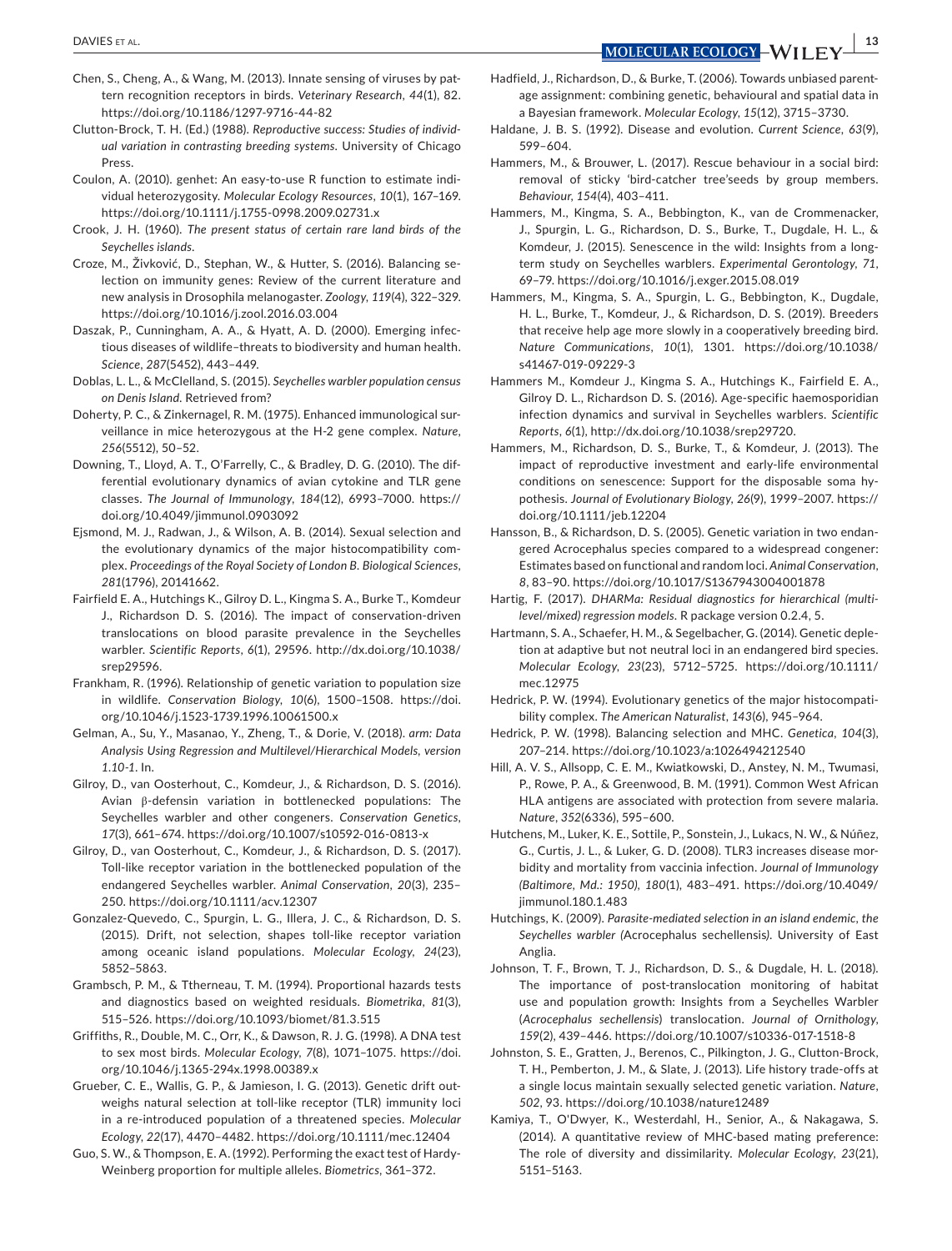- Chen, S., Cheng, A., & Wang, M. (2013). Innate sensing of viruses by pattern recognition receptors in birds. *Veterinary Research*, *44*(1), 82. <https://doi.org/10.1186/1297-9716-44-82>
- Clutton-Brock, T. H. (Ed.) (1988). *Reproductive success: Studies of individual variation in contrasting breeding systems*. University of Chicago Press.
- Coulon, A. (2010). genhet: An easy-to-use R function to estimate individual heterozygosity. *Molecular Ecology Resources*, *10*(1), 167–169. <https://doi.org/10.1111/j.1755-0998.2009.02731.x>
- Crook, J. H. (1960). *The present status of certain rare land birds of the Seychelles islands*.
- Croze, M., Živković, D., Stephan, W., & Hutter, S. (2016). Balancing selection on immunity genes: Review of the current literature and new analysis in Drosophila melanogaster. *Zoology*, *119*(4), 322–329. <https://doi.org/10.1016/j.zool.2016.03.004>
- Daszak, P., Cunningham, A. A., & Hyatt, A. D. (2000). Emerging infectious diseases of wildlife–threats to biodiversity and human health. *Science*, *287*(5452), 443–449.
- Doblas, L. L., & McClelland, S. (2015). *Seychelles warbler population census on Denis Island*. Retrieved from?
- Doherty, P. C., & Zinkernagel, R. M. (1975). Enhanced immunological surveillance in mice heterozygous at the H-2 gene complex. *Nature*, *256*(5512), 50–52.
- Downing, T., Lloyd, A. T., O'Farrelly, C., & Bradley, D. G. (2010). The differential evolutionary dynamics of avian cytokine and TLR gene classes. *The Journal of Immunology*, *184*(12), 6993–7000. [https://](https://doi.org/10.4049/jimmunol.0903092) [doi.org/10.4049/jimmunol.0903092](https://doi.org/10.4049/jimmunol.0903092)
- Ejsmond, M. J., Radwan, J., & Wilson, A. B. (2014). Sexual selection and the evolutionary dynamics of the major histocompatibility complex. *Proceedings of the Royal Society of London B. Biological Sciences*, *281*(1796), 20141662.
- Fairfield E. A., Hutchings K., Gilroy D. L., Kingma S. A., Burke T., Komdeur J., Richardson D. S. (2016). The impact of conservation-driven translocations on blood parasite prevalence in the Seychelles warbler. *Scientific Reports*, *6*(1), 29596. [http://dx.doi.org/10.1038/](http://dx.doi.org/10.1038/srep29596) [srep29596.](http://dx.doi.org/10.1038/srep29596)
- Frankham, R. (1996). Relationship of genetic variation to population size in wildlife. *Conservation Biology*, *10*(6), 1500–1508. [https://doi.](https://doi.org/10.1046/j.1523-1739.1996.10061500.x) [org/10.1046/j.1523-1739.1996.10061500.x](https://doi.org/10.1046/j.1523-1739.1996.10061500.x)
- Gelman, A., Su, Y., Masanao, Y., Zheng, T., & Dorie, V. (2018). *arm: Data Analysis Using Regression and Multilevel/Hierarchical Models, version 1.10-1*. In.
- Gilroy, D., van Oosterhout, C., Komdeur, J., & Richardson, D. S. (2016). Avian β-defensin variation in bottlenecked populations: The Seychelles warbler and other congeners. *Conservation Genetics*, *17*(3), 661–674.<https://doi.org/10.1007/s10592-016-0813-x>
- Gilroy, D., van Oosterhout, C., Komdeur, J., & Richardson, D. S. (2017). Toll-like receptor variation in the bottlenecked population of the endangered Seychelles warbler. *Animal Conservation*, *20*(3), 235– 250. <https://doi.org/10.1111/acv.12307>
- Gonzalez-Quevedo, C., Spurgin, L. G., Illera, J. C., & Richardson, D. S. (2015). Drift, not selection, shapes toll-like receptor variation among oceanic island populations. *Molecular Ecology*, *24*(23), 5852–5863.
- Grambsch, P. M., & Ttherneau, T. M. (1994). Proportional hazards tests and diagnostics based on weighted residuals. *Biometrika*, *81*(3), 515–526.<https://doi.org/10.1093/biomet/81.3.515>
- Griffiths, R., Double, M. C., Orr, K., & Dawson, R. J. G. (1998). A DNA test to sex most birds. *Molecular Ecology*, *7*(8), 1071–1075. [https://doi.](https://doi.org/10.1046/j.1365-294x.1998.00389.x) [org/10.1046/j.1365-294x.1998.00389.x](https://doi.org/10.1046/j.1365-294x.1998.00389.x)
- Grueber, C. E., Wallis, G. P., & Jamieson, I. G. (2013). Genetic drift outweighs natural selection at toll-like receptor (TLR) immunity loci in a re-introduced population of a threatened species. *Molecular Ecology*, *22*(17), 4470–4482. <https://doi.org/10.1111/mec.12404>
- Guo, S. W., & Thompson, E. A. (1992). Performing the exact test of Hardy-Weinberg proportion for multiple alleles. *Biometrics*, 361–372.
- Hadfield, J., Richardson, D., & Burke, T. (2006). Towards unbiased parentage assignment: combining genetic, behavioural and spatial data in a Bayesian framework. *Molecular Ecology*, *15*(12), 3715–3730.
- Haldane, J. B. S. (1992). Disease and evolution. *Current Science*, *63*(9), 599–604.
- Hammers, M., & Brouwer, L. (2017). Rescue behaviour in a social bird: removal of sticky 'bird-catcher tree'seeds by group members. *Behaviour*, *154*(4), 403–411.
- Hammers, M., Kingma, S. A., Bebbington, K., van de Crommenacker, J., Spurgin, L. G., Richardson, D. S., Burke, T., Dugdale, H. L., & Komdeur, J. (2015). Senescence in the wild: Insights from a longterm study on Seychelles warblers. *Experimental Gerontology*, *71*, 69–79. <https://doi.org/10.1016/j.exger.2015.08.019>
- Hammers, M., Kingma, S. A., Spurgin, L. G., Bebbington, K., Dugdale, H. L., Burke, T., Komdeur, J., & Richardson, D. S. (2019). Breeders that receive help age more slowly in a cooperatively breeding bird. *Nature Communications*, *10*(1), 1301. [https://doi.org/10.1038/](https://doi.org/10.1038/s41467-019-09229-3) [s41467-019-09229-3](https://doi.org/10.1038/s41467-019-09229-3)
- Hammers M., Komdeur J., Kingma S. A., Hutchings K., Fairfield E. A., Gilroy D. L., Richardson D. S. (2016). Age-specific haemosporidian infection dynamics and survival in Seychelles warblers. *Scientific Reports*, *6*(1), <http://dx.doi.org/10.1038/srep29720>.
- Hammers, M., Richardson, D. S., Burke, T., & Komdeur, J. (2013). The impact of reproductive investment and early-life environmental conditions on senescence: Support for the disposable soma hypothesis. *Journal of Evolutionary Biology*, *26*(9), 1999–2007. [https://](https://doi.org/10.1111/jeb.12204) [doi.org/10.1111/jeb.12204](https://doi.org/10.1111/jeb.12204)
- Hansson, B., & Richardson, D. S. (2005). Genetic variation in two endangered Acrocephalus species compared to a widespread congener: Estimates based on functional and random loci. *Animal Conservation*, *8*, 83–90.<https://doi.org/10.1017/S1367943004001878>
- Hartig, F. (2017). *DHARMa: Residual diagnostics for hierarchical (multilevel/mixed) regression models*. R package version 0.2.4, 5.
- Hartmann, S. A., Schaefer, H. M., & Segelbacher, G. (2014). Genetic depletion at adaptive but not neutral loci in an endangered bird species. *Molecular Ecology*, *23*(23), 5712–5725. [https://doi.org/10.1111/](https://doi.org/10.1111/mec.12975) [mec.12975](https://doi.org/10.1111/mec.12975)
- Hedrick, P. W. (1994). Evolutionary genetics of the major histocompatibility complex. *The American Naturalist*, *143*(6), 945–964.
- Hedrick, P. W. (1998). Balancing selection and MHC. *Genetica*, *104*(3), 207–214. <https://doi.org/10.1023/a:1026494212540>
- Hill, A. V. S., Allsopp, C. E. M., Kwiatkowski, D., Anstey, N. M., Twumasi, P., Rowe, P. A., & Greenwood, B. M. (1991). Common West African HLA antigens are associated with protection from severe malaria. *Nature*, *352*(6336), 595–600.
- Hutchens, M., Luker, K. E., Sottile, P., Sonstein, J., Lukacs, N. W., & Núñez, G., Curtis, J. L., & Luker, G. D. (2008). TLR3 increases disease morbidity and mortality from vaccinia infection. *Journal of Immunology (Baltimore, Md.: 1950)*, *180*(1), 483–491. [https://doi.org/10.4049/](https://doi.org/10.4049/jimmunol.180.1.483) [jimmunol.180.1.483](https://doi.org/10.4049/jimmunol.180.1.483)
- Hutchings, K. (2009). *Parasite-mediated selection in an island endemic, the Seychelles warbler (*Acrocephalus sechellensis*)*. University of East Anglia.
- Johnson, T. F., Brown, T. J., Richardson, D. S., & Dugdale, H. L. (2018). The importance of post-translocation monitoring of habitat use and population growth: Insights from a Seychelles Warbler (*Acrocephalus sechellensis*) translocation. *Journal of Ornithology*, *159*(2), 439–446. <https://doi.org/10.1007/s10336-017-1518-8>
- Johnston, S. E., Gratten, J., Berenos, C., Pilkington, J. G., Clutton-Brock, T. H., Pemberton, J. M., & Slate, J. (2013). Life history trade-offs at a single locus maintain sexually selected genetic variation. *Nature*, *502*, 93. <https://doi.org/10.1038/nature12489>
- Kamiya, T., O'Dwyer, K., Westerdahl, H., Senior, A., & Nakagawa, S. (2014). A quantitative review of MHC-based mating preference: The role of diversity and dissimilarity. *Molecular Ecology*, *23*(21), 5151–5163.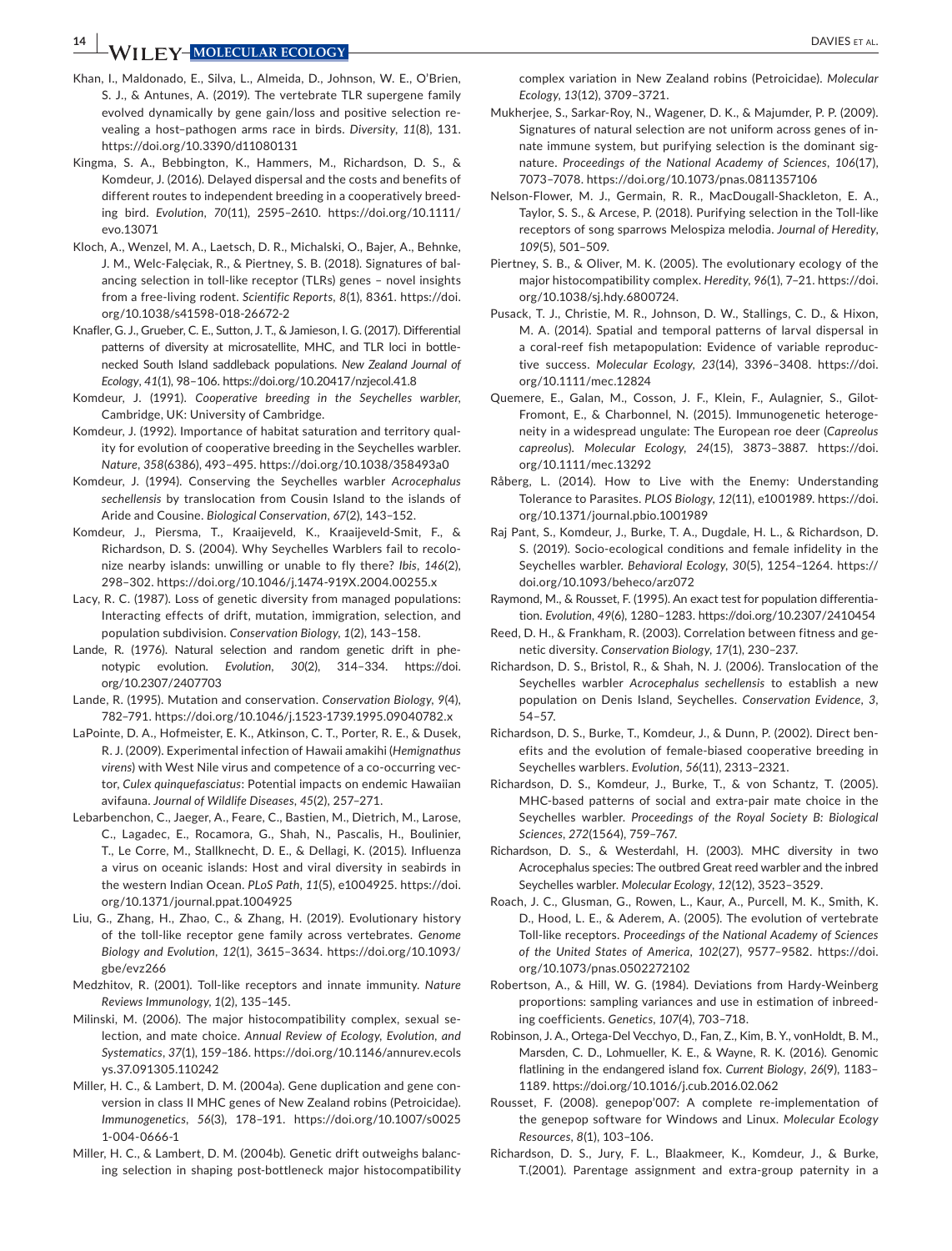**14 <sup>|</sup>**  DAVIES et al.

- Khan, I., Maldonado, E., Silva, L., Almeida, D., Johnson, W. E., O'Brien, S. J., & Antunes, A. (2019). The vertebrate TLR supergene family evolved dynamically by gene gain/loss and positive selection revealing a host–pathogen arms race in birds. *Diversity*, *11*(8), 131. <https://doi.org/10.3390/d11080131>
- Kingma, S. A., Bebbington, K., Hammers, M., Richardson, D. S., & Komdeur, J. (2016). Delayed dispersal and the costs and benefits of different routes to independent breeding in a cooperatively breeding bird. *Evolution*, *70*(11), 2595–2610. [https://doi.org/10.1111/](https://doi.org/10.1111/evo.13071) [evo.13071](https://doi.org/10.1111/evo.13071)
- Kloch, A., Wenzel, M. A., Laetsch, D. R., Michalski, O., Bajer, A., Behnke, J. M., Welc-Falęciak, R., & Piertney, S. B. (2018). Signatures of balancing selection in toll-like receptor (TLRs) genes – novel insights from a free-living rodent. *Scientific Reports*, *8*(1), 8361. [https://doi.](https://doi.org/10.1038/s41598-018-26672-2) [org/10.1038/s41598-018-26672-2](https://doi.org/10.1038/s41598-018-26672-2)
- Knafler, G. J., Grueber, C. E., Sutton, J. T., & Jamieson, I. G. (2017). Differential patterns of diversity at microsatellite, MHC, and TLR loci in bottlenecked South Island saddleback populations. *New Zealand Journal of Ecology*, *41*(1), 98–106.<https://doi.org/10.20417/nzjecol.41.8>
- Komdeur, J. (1991). *Cooperative breeding in the Seychelles warbler*, Cambridge, UK: University of Cambridge.
- Komdeur, J. (1992). Importance of habitat saturation and territory quality for evolution of cooperative breeding in the Seychelles warbler. *Nature*, *358*(6386), 493–495.<https://doi.org/10.1038/358493a0>
- Komdeur, J. (1994). Conserving the Seychelles warbler *Acrocephalus sechellensis* by translocation from Cousin Island to the islands of Aride and Cousine. *Biological Conservation*, *67*(2), 143–152.
- Komdeur, J., Piersma, T., Kraaijeveld, K., Kraaijeveld-Smit, F., & Richardson, D. S. (2004). Why Seychelles Warblers fail to recolonize nearby islands: unwilling or unable to fly there? *Ibis*, *146*(2), 298–302.<https://doi.org/10.1046/j.1474-919X.2004.00255.x>
- Lacy, R. C. (1987). Loss of genetic diversity from managed populations: Interacting effects of drift, mutation, immigration, selection, and population subdivision. *Conservation Biology*, *1*(2), 143–158.
- Lande, R. (1976). Natural selection and random genetic drift in phenotypic evolution. *Evolution*, *30*(2), 314–334. [https://doi.](https://doi.org/10.2307/2407703) [org/10.2307/2407703](https://doi.org/10.2307/2407703)
- Lande, R. (1995). Mutation and conservation. *Conservation Biology*, *9*(4), 782–791. <https://doi.org/10.1046/j.1523-1739.1995.09040782.x>
- LaPointe, D. A., Hofmeister, E. K., Atkinson, C. T., Porter, R. E., & Dusek, R. J. (2009). Experimental infection of Hawaii amakihi (*Hemignathus virens*) with West Nile virus and competence of a co-occurring vector, *Culex quinquefasciatus*: Potential impacts on endemic Hawaiian avifauna. *Journal of Wildlife Diseases*, *45*(2), 257–271.
- Lebarbenchon, C., Jaeger, A., Feare, C., Bastien, M., Dietrich, M., Larose, C., Lagadec, E., Rocamora, G., Shah, N., Pascalis, H., Boulinier, T., Le Corre, M., Stallknecht, D. E., & Dellagi, K. (2015). Influenza a virus on oceanic islands: Host and viral diversity in seabirds in the western Indian Ocean. *PLoS Path*, *11*(5), e1004925. [https://doi.](https://doi.org/10.1371/journal.ppat.1004925) [org/10.1371/journal.ppat.1004925](https://doi.org/10.1371/journal.ppat.1004925)
- Liu, G., Zhang, H., Zhao, C., & Zhang, H. (2019). Evolutionary history of the toll-like receptor gene family across vertebrates. *Genome Biology and Evolution*, *12*(1), 3615–3634. [https://doi.org/10.1093/](https://doi.org/10.1093/gbe/evz266) [gbe/evz266](https://doi.org/10.1093/gbe/evz266)
- Medzhitov, R. (2001). Toll-like receptors and innate immunity. *Nature Reviews Immunology*, *1*(2), 135–145.
- Milinski, M. (2006). The major histocompatibility complex, sexual selection, and mate choice. *Annual Review of Ecology, Evolution, and Systematics*, *37*(1), 159–186. [https://doi.org/10.1146/annurev.ecols](https://doi.org/10.1146/annurev.ecolsys.37.091305.110242) [ys.37.091305.110242](https://doi.org/10.1146/annurev.ecolsys.37.091305.110242)
- Miller, H. C., & Lambert, D. M. (2004a). Gene duplication and gene conversion in class II MHC genes of New Zealand robins (Petroicidae). *Immunogenetics*, *56*(3), 178–191. [https://doi.org/10.1007/s0025](https://doi.org/10.1007/s00251-004-0666-1) [1-004-0666-1](https://doi.org/10.1007/s00251-004-0666-1)
- Miller, H. C., & Lambert, D. M. (2004b). Genetic drift outweighs balancing selection in shaping post-bottleneck major histocompatibility

complex variation in New Zealand robins (Petroicidae). *Molecular Ecology*, *13*(12), 3709–3721.

- Mukherjee, S., Sarkar-Roy, N., Wagener, D. K., & Majumder, P. P. (2009). Signatures of natural selection are not uniform across genes of innate immune system, but purifying selection is the dominant signature. *Proceedings of the National Academy of Sciences*, *106*(17), 7073–7078.<https://doi.org/10.1073/pnas.0811357106>
- Nelson-Flower, M. J., Germain, R. R., MacDougall-Shackleton, E. A., Taylor, S. S., & Arcese, P. (2018). Purifying selection in the Toll-like receptors of song sparrows Melospiza melodia. *Journal of Heredity*, *109*(5), 501–509.
- Piertney, S. B., & Oliver, M. K. (2005). The evolutionary ecology of the major histocompatibility complex. *Heredity*, *96*(1), 7–21. [https://doi.](https://doi.org/10.1038/sj.hdy.6800724) [org/10.1038/sj.hdy.6800724.](https://doi.org/10.1038/sj.hdy.6800724)
- Pusack, T. J., Christie, M. R., Johnson, D. W., Stallings, C. D., & Hixon, M. A. (2014). Spatial and temporal patterns of larval dispersal in a coral-reef fish metapopulation: Evidence of variable reproductive success. *Molecular Ecology*, *23*(14), 3396–3408. [https://doi.](https://doi.org/10.1111/mec.12824) [org/10.1111/mec.12824](https://doi.org/10.1111/mec.12824)
- Quemere, E., Galan, M., Cosson, J. F., Klein, F., Aulagnier, S., Gilot-Fromont, E., & Charbonnel, N. (2015). Immunogenetic heterogeneity in a widespread ungulate: The European roe deer (*Capreolus capreolus*). *Molecular Ecology*, *24*(15), 3873–3887. [https://doi.](https://doi.org/10.1111/mec.13292) [org/10.1111/mec.13292](https://doi.org/10.1111/mec.13292)
- Råberg, L. (2014). How to Live with the Enemy: Understanding Tolerance to Parasites. *PLOS Biology*, *12*(11), e1001989. [https://doi.](https://doi.org/10.1371/journal.pbio.1001989) [org/10.1371/journal.pbio.1001989](https://doi.org/10.1371/journal.pbio.1001989)
- Raj Pant, S., Komdeur, J., Burke, T. A., Dugdale, H. L., & Richardson, D. S. (2019). Socio-ecological conditions and female infidelity in the Seychelles warbler. *Behavioral Ecology*, *30*(5), 1254–1264. [https://](https://doi.org/10.1093/beheco/arz072) [doi.org/10.1093/beheco/arz072](https://doi.org/10.1093/beheco/arz072)
- Raymond, M., & Rousset, F. (1995). An exact test for population differentiation. *Evolution*, *49*(6), 1280–1283. <https://doi.org/10.2307/2410454>
- Reed, D. H., & Frankham, R. (2003). Correlation between fitness and genetic diversity. *Conservation Biology*, *17*(1), 230–237.
- Richardson, D. S., Bristol, R., & Shah, N. J. (2006). Translocation of the Seychelles warbler *Acrocephalus sechellensis* to establish a new population on Denis Island, Seychelles. *Conservation Evidence*, *3*, 54–57.
- Richardson, D. S., Burke, T., Komdeur, J., & Dunn, P. (2002). Direct benefits and the evolution of female-biased cooperative breeding in Seychelles warblers. *Evolution*, *56*(11), 2313–2321.
- Richardson, D. S., Komdeur, J., Burke, T., & von Schantz, T. (2005). MHC-based patterns of social and extra-pair mate choice in the Seychelles warbler. *Proceedings of the Royal Society B: Biological Sciences*, *272*(1564), 759–767.
- Richardson, D. S., & Westerdahl, H. (2003). MHC diversity in two Acrocephalus species: The outbred Great reed warbler and the inbred Seychelles warbler. *Molecular Ecology*, *12*(12), 3523–3529.
- Roach, J. C., Glusman, G., Rowen, L., Kaur, A., Purcell, M. K., Smith, K. D., Hood, L. E., & Aderem, A. (2005). The evolution of vertebrate Toll-like receptors. *Proceedings of the National Academy of Sciences of the United States of America*, *102*(27), 9577–9582. [https://doi.](https://doi.org/10.1073/pnas.0502272102) [org/10.1073/pnas.0502272102](https://doi.org/10.1073/pnas.0502272102)
- Robertson, A., & Hill, W. G. (1984). Deviations from Hardy-Weinberg proportions: sampling variances and use in estimation of inbreeding coefficients. *Genetics*, *107*(4), 703–718.
- Robinson, J. A., Ortega-Del Vecchyo, D., Fan, Z., Kim, B. Y., vonHoldt, B. M., Marsden, C. D., Lohmueller, K. E., & Wayne, R. K. (2016). Genomic flatlining in the endangered island fox. *Current Biology*, *26*(9), 1183– 1189. <https://doi.org/10.1016/j.cub.2016.02.062>
- Rousset, F. (2008). genepop'007: A complete re-implementation of the genepop software for Windows and Linux. *Molecular Ecology Resources*, *8*(1), 103–106.
- Richardson, D. S., Jury, F. L., Blaakmeer, K., Komdeur, J., & Burke, T.(2001). Parentage assignment and extra-group paternity in a